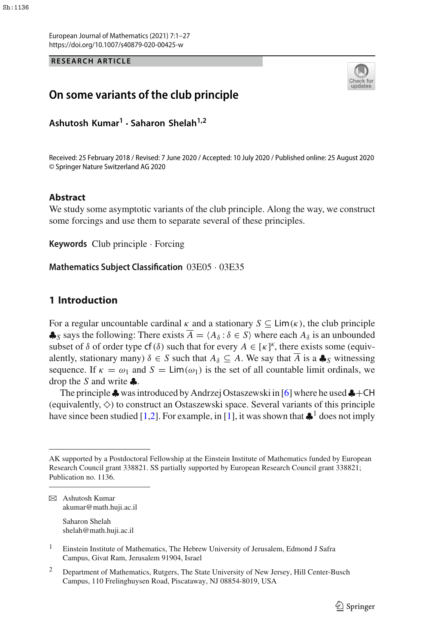European Journal of Mathematics (2021) 7:1–27 https://doi.org/10.1007/s40879-020-00425-w

#### **RESEARCH ARTICLE**



## **On some variants of the club principle**

**Ashutosh Kumar1 · Saharon Shelah1,2**

Received: 25 February 2018 / Revised: 7 June 2020 / Accepted: 10 July 2020 / Published online: 25 August 2020 © Springer Nature Switzerland AG 2020

#### **Abstract**

We study some asymptotic variants of the club principle. Along the way, we construct some forcings and use them to separate several of these principles.

**Keywords** Club principle · Forcing

**Mathematics Subject Classification** 03E05 · 03E35

### <span id="page-0-0"></span>**1 Introduction**

For a regular uncountable cardinal  $\kappa$  and a stationary  $S \subseteq \text{Lim}(\kappa)$ , the club principle  $\clubsuit$ *s* says the following: There exists  $\overline{A} = \langle A_{\delta} : \delta \in S \rangle$  where each  $A_{\delta}$  is an unbounded subset of  $\delta$  of order type cf( $\delta$ ) such that for every  $A \in [\kappa]^k$ , there exists some (equivalently, stationary many)  $\delta \in S$  such that  $A_{\delta} \subseteq A$ . We say that  $\overline{A}$  is a  $\clubsuit_S$  witnessing sequence. If  $\kappa = \omega_1$  and  $S = \text{Lim}(\omega_1)$  is the set of all countable limit ordinals, we drop the *S* and write ♣.

The principle  $\clubsuit$  was introduced by Andrzej Ostaszewski in [\[6](#page-26-0)] where he used  $\clubsuit$ +CH (equivalently,  $\diamond$ ) to construct an Ostaszewski space. Several variants of this principle have since been studied [\[1](#page-26-1)[,2](#page-26-2)]. For example, in [\[1\]](#page-26-1), it was shown that  $\clubsuit$ <sup>1</sup> does not imply

Saharon Shelah shelah@math.huji.ac.il

<sup>2</sup> Department of Mathematics, Rutgers, The State University of New Jersey, Hill Center-Busch Campus, 110 Frelinghuysen Road, Piscataway, NJ 08854-8019, USA

AK supported by a Postdoctoral Fellowship at the Einstein Institute of Mathematics funded by European Research Council grant 338821. SS partially supported by European Research Council grant 338821; Publication no. 1136.

 $\boxtimes$  Ashutosh Kumar akumar@math.huji.ac.il

<sup>&</sup>lt;sup>1</sup> Einstein Institute of Mathematics, The Hebrew University of Jerusalem, Edmond J Safra Campus, Givat Ram, Jerusalem 91904, Israel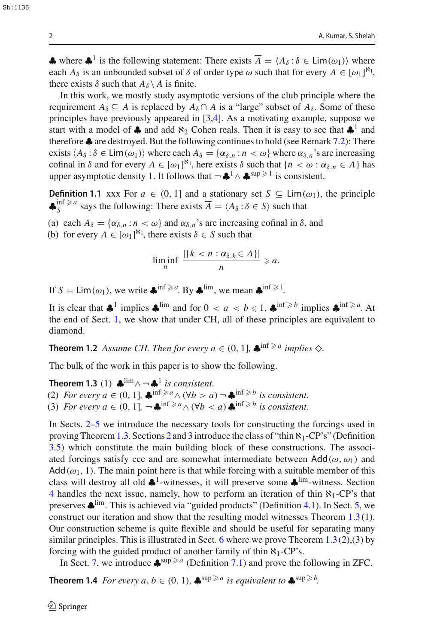$\triangle$  where  $\triangle^1$  is the following statement: There exists  $\overline{A} = \langle A_\delta : \delta \in \text{Lim}(\omega_1) \rangle$  where each  $A_{\delta}$  is an unbounded subset of  $\delta$  of order type  $\omega$  such that for every  $A \in [\omega_1]^{\kappa_1}$ , there exists  $\delta$  such that  $A_{\delta} \setminus A$  is finite.

In this work, we mostly study asymptotic versions of the club principle where the requirement  $A_{\delta} \subseteq A$  is replaced by  $A_{\delta} \cap A$  is a "large" subset of  $A_{\delta}$ . Some of these principles have previously appeared in [\[3](#page-26-3)[,4](#page-26-4)]. As a motivating example, suppose we start with a model of  $\clubsuit$  and add  $\aleph_2$  Cohen reals. Then it is easy to see that  $\clubsuit^1$  and therefore ♣ are destroyed. But the following continues to hold (see Remark [7.2\)](#page-18-0): There exists  $\langle A_\delta : \delta \in \text{Lim}(\omega_1) \rangle$  where each  $A_\delta = \{ \alpha_{\delta,n} : n \lt \omega \}$  where  $\alpha_{\delta,n}$ 's are increasing cofinal in  $\delta$  and for every  $A \in [\omega_1]^{\aleph_1}$ , here exists  $\delta$  such that  $\{n < \omega : \alpha_{\delta,n} \in A\}$  has upper asymptotic density 1. It follows that  $\neg$   $\clubsuit$ <sup>1</sup>  $\wedge$   $\clubsuit$ <sup>sup  $\geq$  1 is consistent.</sup>

**Definition 1.1** xxx For  $a \in (0, 1]$  and a stationary set  $S \subseteq \text{Lim}(\omega_1)$ , the principle  $\clubsuit_S^{\text{inf}} \ge a$  says the following: There exists  $\overline{A} = \langle A_\delta : \delta \in S \rangle$  such that

- (a) each  $A_{\delta} = {\alpha_{\delta,n} : n < \omega}$  and  $\alpha_{\delta,n}$ 's are increasing cofinal in  $\delta$ , and
- (b) for every  $A \in [\omega_1]^{\mathbb{N}_1}$ , there exists  $\delta \in S$  such that

<span id="page-1-1"></span><span id="page-1-0"></span>
$$
\liminf_{n} \frac{|\{k < n : \alpha_{\delta,k} \in A\}|}{n} \geqslant a.
$$

If  $S = \text{Lim}(\omega_1)$ , we write  $\clubsuit^{\text{inf} \ge a}$ . By  $\clubsuit^{\text{lim}}$ , we mean  $\clubsuit^{\text{inf} \ge 1}$ .

<span id="page-1-2"></span>It is clear that  $\clubsuit^1$  implies  $\clubsuit^{\text{lim}}$  and for  $0 < a < b \leq 1$ ,  $\clubsuit^{\text{inf} \geq b}$  implies  $\clubsuit^{\text{inf} \geq a}$ . At the end of Sect. [1,](#page-0-0) we show that under CH, all of these principles are equivalent to diamond.

**Theorem 1.2** *Assume CH. Then for every*  $a \in (0, 1]$ *,*  $\clubsuit$ <sup>inf  $\ge a$  *implies*  $\diamondsuit$ *.*</sup>

The bulk of the work in this paper is to show the following.

**Theorem 1.3** (1)  $\clubsuit^{\lim} \land \neg \clubsuit^1$  *is consistent.* (2) *For every a*  $\in$  (0, 1],  $\oint_{\text{int}}^{\text{inf} \ge a} \wedge (\forall b > a) - \oint_{\text{int}}^{\text{inf} \ge b}$  *is consistent.* (3) *For every a*  $\in$  (0, 1],  $\neg \clubsuit^{\inf \geq a} \wedge (\forall b < a) \clubsuit^{\inf \geq b}$  *is consistent.* 

In Sects. [2–](#page-3-0)[5](#page-10-0) we introduce the necessary tools for constructing the forcings used in proving Theorem [1.3.](#page-1-0) Sections [2](#page-3-0) and [3](#page-5-0) introduce the class of "thin  $\aleph_1$ -CP's" (Definition [3.5\)](#page-7-0) which constitute the main building block of these constructions. The associated forcings satisfy ccc and are somewhat intermediate between  $Add(\omega, \omega_1)$  and  $Add(\omega_1, 1)$ . The main point here is that while forcing with a suitable member of this class will destroy all old  $\clubsuit$ <sup>1</sup>-witnesses, it will preserve some  $\clubsuit$ <sup>lim</sup>-witness. Section [4](#page-8-0) handles the next issue, namely, how to perform an iteration of thin  $\aleph_1$ -CP's that preserves ♣lim. This is achieved via "guided products" (Definition [4.1\)](#page-8-1). In Sect. [5,](#page-10-0) we construct our iteration and show that the resulting model witnesses Theorem [1.3](#page-1-0) (1). Our construction scheme is quite flexible and should be useful for separating many similar principles. This is illustrated in Sect. [6](#page-14-0) where we prove Theorem  $1.3(2)$  $1.3(2)$ ,  $(3)$  by forcing with the guided product of another family of thin  $\aleph_1$ -CP's.

<span id="page-1-3"></span>In Sect. [7,](#page-18-1) we introduce  $\clubsuit^{\text{sup}\ge a}$  (Definition [7.1\)](#page-18-2) and prove the following in ZFC.

**Theorem 1.4** *For every a, b*  $\in$  (0, 1),  $\clubsuit^{\sup \ge a}$  *is equivalent to*  $\clubsuit^{\sup \ge b}$ *.*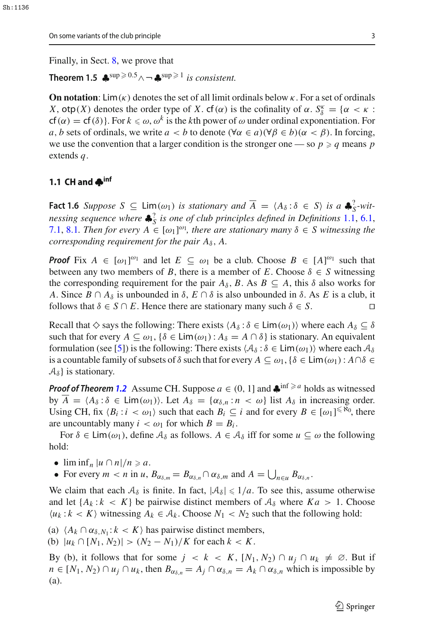<span id="page-2-1"></span>On some variants of the club principle 3

Finally, in Sect. [8,](#page-22-0) we prove that

**Theorem 1.5**  $\clubsuit^{\text{sup}} \ge 0.5 \wedge \neg \clubsuit^{\text{sup}} \ge 1$  *is consistent.* 

**On notation**: Lim( $\kappa$ ) denotes the set of all limit ordinals below  $\kappa$ . For a set of ordinals *X*, otp(*X*) denotes the order type of *X*. cf( $\alpha$ ) is the cofinality of  $\alpha$ .  $S_{\delta}^{\kappa} = {\alpha \lt \kappa : \mathbb{R}^3$  $cf(\alpha) = cf(\delta)$ . For  $k \le \omega$ ,  $\omega^k$  is the *k*th power of  $\omega$  under ordinal exponentiation. For *a*, *b* sets of ordinals, we write  $a < b$  to denote ( $\forall \alpha \in a$ )( $\forall \beta \in b$ )( $\alpha < \beta$ ). In forcing, we use the convention that a larger condition is the stronger one — so  $p \geqslant q$  means  $p$ extends *q*.

#### **1.1 CH and ♣inf**

<span id="page-2-0"></span>**Fact 1.6** *Suppose*  $S \subseteq \text{Lim}(\omega_1)$  *is stationary and*  $\overline{A} = \langle A_\delta : \delta \in S \rangle$  *is a*  $\clubsuit_S^2$ -wit*nessing sequence where* ♣? *<sup>S</sup> is one of club principles defined in Definitions* [1.1,](#page-1-1) [6.1,](#page-14-1) [7.1,](#page-18-2) [8.1](#page-22-1)*. Then for every*  $A \in [\omega_1]^{\omega_1}$ , there are stationary many  $\delta \in S$  witnessing the *corresponding requirement for the pair*  $A_{\delta}$ ,  $A$ .

*Proof* Fix  $A \in [\omega_1]^{\omega_1}$  and let  $E \subseteq \omega_1$  be a club. Choose  $B \in [A]^{\omega_1}$  such that between any two members of *B*, there is a member of *E*. Choose  $\delta \in S$  witnessing the corresponding requirement for the pair  $A_{\delta}$ , *B*. As  $B \subseteq A$ , this  $\delta$  also works for *A*. Since *B* ∩ *A*<sub> $\delta$ </sub> is unbounded in  $\delta$ , *E* ∩  $\delta$  is also unbounded in  $\delta$ . As *E* is a club, it follows that  $\delta \in S \cap E$ . Hence there are stationary many such  $\delta \in S$ . follows that  $\delta \in S \cap E$ . Hence there are stationary many such  $\delta \in S$ .

Recall that  $\diamond$  says the following: There exists  $\langle A_\delta : \delta \in \text{Lim}(\omega_1) \rangle$  where each  $A_\delta \subseteq \delta$ such that for every  $A \subseteq \omega_1$ ,  $\{\delta \in \text{Lim}(\omega_1) : A_\delta = A \cap \delta\}$  is stationary. An equivalent formulation (see [\[5](#page-26-5)]) is the following: There exists  $\langle A_\delta : \delta \in \text{Lim}(\omega_1) \rangle$  where each  $A_\delta$ is a countable family of subsets of  $\delta$  such that for every  $A \subseteq \omega_1, \{\delta \in \text{Lim}(\omega_1) : A \cap \delta \in$  $\mathcal{A}_{\delta}$  is stationary.

*Proof of Theorem [1.2](#page-1-2)* Assume CH. Suppose  $a \in (0, 1]$  and  $\clubsuit^{\inf \geq a}$  holds as witnessed by  $\overline{A} = \langle A_{\delta} : \delta \in \text{Lim}(\omega_1) \rangle$ . Let  $A_{\delta} = \{ \alpha_{\delta,n} : n \langle \omega \rangle \}$  list  $A_{\delta}$  in increasing order. Using CH, fix  $\langle B_i : i \rangle \langle \omega_1 \rangle$  such that each  $B_i \subseteq i$  and for every  $B \in [\omega_1]^{\leq \aleph_0}$ , there are uncountably many  $i < \omega_1$  for which  $B = B_i$ .

For  $\delta \in \text{Lim}(\omega_1)$ , define  $\mathcal{A}_{\delta}$  as follows.  $A \in \mathcal{A}_{\delta}$  iff for some  $u \subseteq \omega$  the following hold:

•  $\liminf_n |u \cap n|/n \geqslant a$ .

• For every  $m < n$  in  $u$ ,  $B_{\alpha_{\delta,m}} = B_{\alpha_{\delta,n}} \cap \alpha_{\delta,m}$  and  $A = \bigcup_{n \in \mathcal{U}} B_{\alpha_{\delta,n}}$ .

We claim that each  $A_{\delta}$  is finite. In fact,  $|A_{\delta}| \leq 1/a$ . To see this, assume otherwise and let  $\{A_k : k < K\}$  be pairwise distinct members of  $A_\delta$  where  $Ka > 1$ . Choose  $\langle u_k : k \rangle$  witnessing  $A_k \in \mathcal{A}_k$ . Choose  $N_1 \langle N_2 \rangle$  such that the following hold:

- (a)  $\langle A_k \cap \alpha_{\delta, N_1}: k \langle K \rangle$  has pairwise distinct members,
- (b)  $|u_k \cap [N_1, N_2)| > (N_2 N_1)/K$  for each  $k < K$ .

By (b), it follows that for some  $j < k < K$ ,  $[N_1, N_2] \cap u_j \cap u_k \neq \emptyset$ . But if  $n \in [N_1, N_2) \cap u_j \cap u_k$ , then  $B_{\alpha_{\delta,n}} = A_j \cap \alpha_{\delta,n} = A_k \cap \alpha_{\delta,n}$  which is impossible by (a).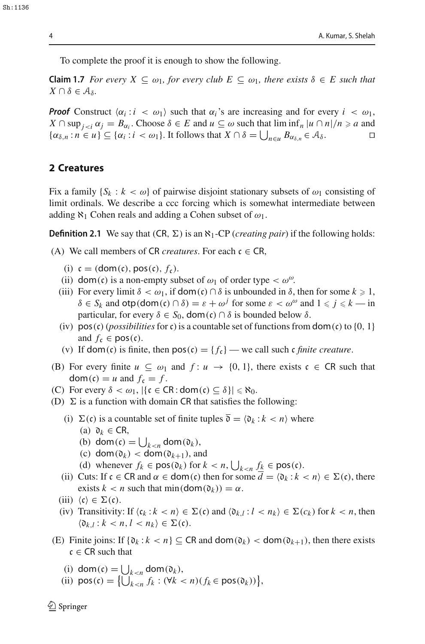To complete the proof it is enough to show the following.

**Claim 1.7** *For every*  $X \subseteq \omega_1$ *, for every club*  $E \subseteq \omega_1$ *, there exists*  $\delta \in E$  *such that*  $X \cap \delta \in \mathcal{A}_{\delta}$ .

*Proof* Construct  $\langle \alpha_i : i \langle \alpha \rangle \rangle$  such that  $\alpha_i$ 's are increasing and for every  $i \langle \alpha \rangle$ ,  $X \cap \sup_{j \leq i} \alpha_j = B_{\alpha_i}$ . Choose  $\delta \in E$  and  $u \subseteq \omega$  such that  $\liminf_{n \to \infty} |u \cap n|/n \geq a$  and  $\{\alpha_{\delta,n} : n \in u\} \subseteq \{\alpha_i : i < \omega_1\}.$  It follows that  $X \cap \delta = \bigcup_{n \in u} B_{\alpha_{\delta,n}} \in \mathcal{A}_{\delta}.$ 

#### <span id="page-3-0"></span>**2 Creatures**

Fix a family  $\{S_k : k < \omega\}$  of pairwise disjoint stationary subsets of  $\omega_1$  consisting of limit ordinals. We describe a ccc forcing which is somewhat intermediate between adding  $\aleph_1$  Cohen reals and adding a Cohen subset of  $\omega_1$ .

**Definition 2.1** We say that  $(CR, \Sigma)$  is an  $\aleph_1$ -CP (*creating pair*) if the following holds:

(A) We call members of CR *creatures*. For each  $c \in CR$ ,

- <span id="page-3-1"></span>(i)  $c = (dom(c), pos(c), f_c)$ .
- (ii) dom(c) is a non-empty subset of  $\omega_1$  of order type  $< \omega^{\omega}$ .
- (iii) For every limit  $\delta < \omega_1$ , if dom(c) ∩  $\delta$  is unbounded in  $\delta$ , then for some  $k \ge 1$ ,  $\delta \in S_k$  and  $\text{otp}(\text{dom}(\mathfrak{c}) \cap \delta) = \varepsilon + \omega^j$  for some  $\varepsilon < \omega^{\omega}$  and  $1 \leq j \leq k$  — in particular, for every  $\delta \in S_0$ , dom(c)  $\cap \delta$  is bounded below  $\delta$ .
- (iv)  $pos(c)$  (*possibilities* for c) is a countable set of functions from  $dom(c)$  to {0, 1} and  $f_c \in \text{pos}(c)$ .
- (v) If dom(c) is finite, then  $pos(c) = {f_c}$  we call such c *finite creature*.
- (B) For every finite  $u \subseteq \omega_1$  and  $f: u \to \{0, 1\}$ , there exists  $c \in \mathbb{C}$ R such that  $dom(c) = u$  and  $f_c = f$ .
- (C) For every  $\delta < \omega_1$ ,  $|\{c \in \text{CR} : \text{dom}(c) \subseteq \delta\}| \leq \aleph_0$ .
- (D)  $\Sigma$  is a function with domain CR that satisfies the following:
	- (i)  $\Sigma(c)$  is a countable set of finite tuples  $\overline{\mathfrak{d}} = \langle \mathfrak{d}_k : k < n \rangle$  where (a)  $\mathfrak{d}_k \in \mathsf{CR},$ 
		- (b) dom(c) =  $\bigcup_{k < n}$  dom( $\mathfrak{d}_k$ ),
		- (c) dom $(\mathfrak{d}_k)$  < dom $(\mathfrak{d}_{k+1})$ , and
		- (d) whenever  $f_k \in \text{pos}(\mathfrak{d}_k)$  for  $k < n$ ,  $\bigcup_{k < n} \underline{f_k} \in \text{pos}(\mathfrak{c})$ .
	- (ii) Cuts: If  $c \in \text{CR}$  and  $\alpha \in \text{dom}(c)$  then for some  $d = \langle \mathfrak{d}_k : k < n \rangle \in \Sigma(c)$ , there exists  $k < n$  such that min(dom( $\mathfrak{d}_k$ )) =  $\alpha$ .
	- (iii)  $\langle \mathfrak{c} \rangle \in \Sigma(\mathfrak{c})$ .
	- (iv) Transitivity: If  $\langle c_k : k < n \rangle \in \Sigma(c)$  and  $\langle \mathfrak{d}_{k,l} : l < n_k \rangle \in \Sigma(c_k)$  for  $k < n$ , then  $\langle \mathfrak{d}_{k,l} : k < n, l < n_k \rangle \in \Sigma(\mathfrak{c}).$
- (E) Finite joins: If  $\{ \mathfrak{d}_k : k < n \} \subseteq \mathbb{C} \mathbb{R}$  and  $\text{dom}(\mathfrak{d}_k) < \text{dom}(\mathfrak{d}_{k+1})$ , then there exists  $c \in \mathsf{CR}$  such that
	- (i) dom(c) =  $\bigcup_{k \le n}$  dom( $\mathfrak{d}_k$ ),
	- (ii)  $pos(c) = \left\{ \bigcup_{k < n}^{n} f_k : (\forall k < n)(f_k \in pos(\mathfrak{d}_k)) \right\},\right\}$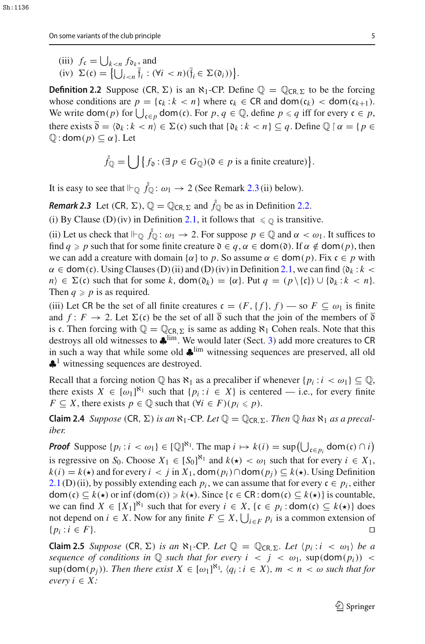(iii)  $f_c = \bigcup_{k \le n} f_{\mathfrak{d}_k}$  and  $(iv) \ \Sigma(\mathfrak{c}) = \big\{ \bigcup_{i < n} \mathfrak{f}_i : (\forall i < n)(\mathfrak{f}_i \in \Sigma(\mathfrak{d}_i)) \big\}.$ 

<span id="page-4-1"></span>**Definition 2.2** Suppose (CR,  $\Sigma$ ) is an  $\aleph_1$ -CP. Define  $\mathbb{Q} = \mathbb{Q}_{CR, \Sigma}$  to be the forcing whose conditions are  $p = \{c_k : k < n\}$  where  $c_k \in \text{CR}$  and  $\text{dom}(c_k) < \text{dom}(c_{k+1})$ . We write  $\text{dom}(p)$  for  $\bigcup_{\mathfrak{c} \in p} \text{dom}(\mathfrak{c})$ . For  $p, q \in \mathbb{Q}$ , define  $p \leq q$  iff for every  $\mathfrak{c} \in p$ , there exists  $\overline{\mathfrak{d}} = \langle \mathfrak{d}_k : k \langle n \rangle \in \Sigma(\mathfrak{c})$  such that  $\{ \mathfrak{d}_k : k \langle n \rangle \subseteq q$ . Define  $\mathbb{Q} \mid \alpha = \{ p \in \mathfrak{d}_k : k \langle n \rangle \}$  $\mathbb{Q}$  : dom( $p$ )  $\subseteq \alpha$  }. Let

$$
\mathring{f}_{\mathbb{Q}} = \bigcup \big\{ f_{\mathfrak{d}} : (\exists p \in G_{\mathbb{Q}}) (\mathfrak{d} \in p \text{ is a finite creative}) \big\}.
$$

<span id="page-4-0"></span>It is easy to see that  $\Vdash_{\mathbb{Q}} \mathring{f}_{\mathbb{Q}} : \omega_1 \to 2$  (See Remark [2.3](#page-4-0) (ii) below).

*Remark 2.3* Let  $(CR, \Sigma)$ ,  $\mathbb{Q} = \mathbb{Q}_{CR, \Sigma}$  and  $\mathring{f}_{\mathbb{Q}}$  be as in Definition [2.2.](#page-4-1)

(i) By Clause (D) (iv) in Definition [2.1,](#page-3-1) it follows that  $\leq \mathbb{Q}$  is transitive.

(ii) Let us check that  $\Vdash_{\mathbb{Q}} \tilde{f}_{\mathbb{Q}}$ :  $\omega_1 \to 2$ . For suppose  $p \in \mathbb{Q}$  and  $\alpha < \omega_1$ . It suffices to find *q*  $\ge$  *p* such that for some finite creature  $0 \in q$ ,  $\alpha \in \text{dom}(0)$ . If  $\alpha \notin \text{dom}(p)$ , then we can add a creature with domain { $\alpha$ } to *p*. So assume  $\alpha \in \text{dom}(p)$ . Fix  $c \in p$  with  $\alpha \in \text{dom}(\mathfrak{c})$ . Using Clauses (D) (ii) and (D) (iv) in Definition [2.1,](#page-3-1) we can find  $\langle \mathfrak{d}_k : k \rangle$  $n \in \Sigma(c)$  such that for some k,  $\text{dom}(\mathfrak{d}_k) = {\alpha}$ . Put  $q = (p \setminus {\{c\}}) \cup {\mathfrak{d}_k : k < n}.$ Then  $q \geq p$  is as required.

(iii) Let CR be the set of all finite creatures  $c = (F, \{f\}, f)$  — so  $F \subseteq \omega_1$  is finite and  $f: F \to 2$ . Let  $\Sigma(\mathfrak{c})$  be the set of all  $\overline{\mathfrak{d}}$  such that the join of the members of  $\overline{\mathfrak{d}}$ is c. Then forcing with  $\mathbb{Q} = \mathbb{Q}_{CR, \Sigma}$  is same as adding  $\aleph_1$  Cohen reals. Note that this destroys all old witnesses to  $\clubsuit$ <sup>lim</sup>. We would later (Sect. [3\)](#page-5-0) add more creatures to CR in such a way that while some old  $\clubsuit^{\text{lim}}$  witnessing sequences are preserved, all old  $\clubsuit$ <sup>1</sup> witnessing sequences are destroyed.

<span id="page-4-2"></span>Recall that a forcing notion  $\mathbb Q$  has  $\aleph_1$  as a precaliber if whenever  $\{p_i : i < \omega_1\} \subseteq \mathbb Q$ , there exists  $X \in [\omega_1]^{\aleph_1}$  such that  $\{p_i : i \in X\}$  is centered — i.e., for every finite *F*  $\subseteq$  *X*, there exists *p*  $\in$  Q such that ( $\forall i \in F$ )( $p_i \leq p$ ).

**Claim 2.4** *Suppose* (CR,  $\Sigma$ ) *is an*  $\aleph_1$ -CP*. Let*  $\mathbb{Q} = \mathbb{Q}_{CR,\Sigma}$ *. Then*  $\mathbb{Q}$  *has*  $\aleph_1$  *as a precaliber.*

*Proof* Suppose  $\{p_i : i < \omega_1\} \in [\mathbb{Q}]^{\aleph_1}$ . The map  $i \mapsto k(i) = \sup \left(\bigcup_{\mathfrak{c} \in p_i} \mathsf{dom}(\mathfrak{c}) \cap i\right)$ is regressive on *S*<sub>0</sub>. Choose  $X_1 \in [S_0]^{\aleph_1}$  and  $k(\star) < \omega_1$  such that for every  $i \in X_1$ , *k*(*i*) = *k*( $\star$ ) and for every *i* < *j* in *X*<sub>1</sub>, dom(*p<sub>i</sub>*)∩dom(*p<sub>i</sub>*) ⊆ *k*( $\star$ ). Using Definition [2.1](#page-3-1) (D) (ii), by possibly extending each  $p_i$ , we can assume that for every  $c \in p_i$ , either dom(c)  $\subseteq k(\star)$  or inf (dom(c))  $\ge k(\star)$ . Since {c  $\in \text{CR} : \text{dom}(c) \subseteq k(\star)$ } is countable, we can find  $X \in [X_1]^{\aleph_1}$  such that for every  $i \in X$ ,  $\{c \in p_i : \text{dom}(c) \subseteq k(\star)\}\)$ not depend on *i* ∈ *X*. Now for any finite  $F \subseteq X$ ,  $\bigcup_{i \in F} p_i$  is a common extension of  ${p_i : i \in F}$ . □

<span id="page-4-3"></span>**Claim 2.5** *Suppose* (CR,  $\Sigma$ ) *is an*  $\aleph_1$ -CP*. Let*  $\mathbb{Q} = \mathbb{Q}_{CR,\Sigma}$ *. Let*  $\langle p_i : i \prec \omega_1 \rangle$  *be a sequence of conditions in*  $\mathbb Q$  *such that for every i* < *j* <  $\omega_1$ , sup(dom( $p_i$ )) <  $\sup(\text{dom}(p_j))$ *. Then there exist*  $X \in [\omega_1]^{\aleph_1}$ ,  $\langle q_i : i \in X \rangle$ ,  $m < n < \omega$  such that for *every*  $i \in X$ *:*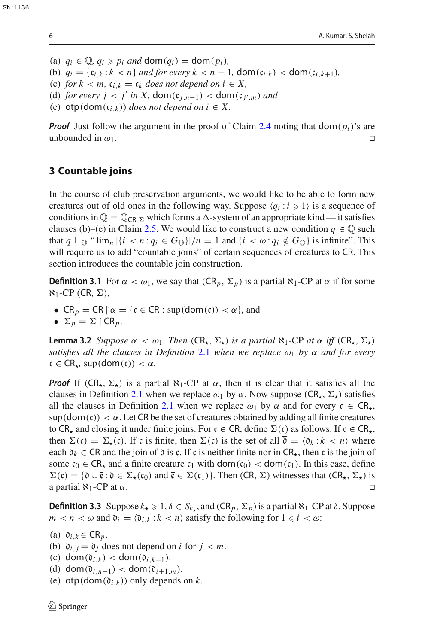(a)  $q_i \in \mathbb{Q}, q_i \geqslant p_i$  and  $\text{dom}(q_i) = \text{dom}(p_i)$ ,

(b) 
$$
q_i = \{ \mathfrak{c}_{i,k} : k < n \}
$$
 and for every  $k < n - 1$ ,  $\text{dom}(\mathfrak{c}_{i,k}) < \text{dom}(\mathfrak{c}_{i,k+1})$ ,

- (c) *for*  $k < m$ ,  $c_{i,k} = c_k$  *does not depend on*  $i \in X$ ,
- (d) *for every j* < *j' in X*, dom( $c_{j,n-1}$ ) < dom( $c_{j',m}$ ) *and*
- (e)  $otp(\text{dom}(\mathfrak{c}_{i,k}))$  *does not depend on i*  $\in X$ .

*Proof* Just follow the argument in the proof of Claim [2.4](#page-4-2) noting that  $dom(p_i)$ 's are unbounded in  $\omega_1$ .

### <span id="page-5-0"></span>**3 Countable joins**

In the course of club preservation arguments, we would like to be able to form new creatures out of old ones in the following way. Suppose  $\langle q_i : i \geq 1 \rangle$  is a sequence of conditions in  $\mathbb{Q} = \mathbb{Q}_{\text{CR},\Sigma}$  which forms a  $\Delta$ -system of an appropriate kind — it satisfies clauses (b)–(e) in Claim [2.5.](#page-4-3) We would like to construct a new condition  $q \in \mathbb{Q}$  such that  $q \Vdash_{\mathbb{Q}} \text{``lim}_n |\{i \leq n : q_i \in G_{\mathbb{Q}}\}|/n = 1$  and  $\{i \leq \omega : q_i \notin G_{\mathbb{Q}}\}$  is infinite". This will require us to add "countable joins" of certain sequences of creatures to CR. This section introduces the countable join construction.

**Definition 3.1** For  $\alpha < \omega_1$ , we say that  $(CR_p, \Sigma_p)$  is a partial  $\aleph_1$ -CP at  $\alpha$  if for some  $\aleph_1$ -CP (CR,  $\Sigma$ ),

- $CR_p = CR \upharpoonright \alpha = \{c \in CR : \sup(\text{dom}(c)) < \alpha\},\$ and
- $\Sigma_p = \Sigma \upharpoonright \mathsf{CR}_p$ .

<span id="page-5-1"></span>**Lemma 3.2** *Suppose*  $\alpha < \omega_1$ *. Then* (CR<sub>\*</sub>,  $\Sigma_{\star}$ ) *is a partial*  $\aleph_1$ -CP *at*  $\alpha$  *iff* (CR<sub>\*</sub>,  $\Sigma_{\star}$ ) *satisfies all the clauses in Definition* [2.1](#page-3-1) *when we replace*  $\omega_1$  *by*  $\alpha$  *and for every*  $c \in CR_{\star}$ , sup(dom(c)) <  $\alpha$ .

*Proof* If  $(CR_{\star}, \Sigma_{\star})$  is a partial  $\aleph_1$ -CP at  $\alpha$ , then it is clear that it satisfies all the clauses in Definition [2.1](#page-3-1) when we replace  $\omega_1$  by  $\alpha$ . Now suppose (CR<sub>\*</sub>,  $\Sigma_{\star}$ ) satisfies all the clauses in Definition [2.1](#page-3-1) when we replace  $\omega_1$  by  $\alpha$  and for every  $c \in CR_{\star}$ ,  $\sup(\text{dom}(c)) < \alpha$ . Let CR be the set of creatures obtained by adding all finite creatures to CR<sub>\*</sub> and closing it under finite joins. For  $c \in CR$ , define  $\Sigma(c)$  as follows. If  $c \in CR_{\star}$ , then  $\Sigma(c) = \Sigma_{\star}(c)$ . If c is finite, then  $\Sigma(c)$  is the set of all  $\overline{0} = \langle 0_k : k \langle n \rangle$  where each  $\mathfrak{d}_k \in \mathbb{C}$ R and the join of  $\overline{\mathfrak{d}}$  is c. If c is neither finite nor in  $\mathbb{C}$ R<sub>\*</sub>, then c is the join of some  $c_0 \in \mathsf{CR}_{\star}$  and a finite creature  $c_1$  with  $\mathsf{dom}(c_0) < \mathsf{dom}(c_1)$ . In this case, define  $\Sigma(\mathfrak{c}) = {\overline{\mathfrak{d}} \cup \overline{\mathfrak{e}} : \overline{\mathfrak{d}}} \in \Sigma_{\star}(\mathfrak{c}_0)$  and  $\overline{\mathfrak{e}} \in \Sigma(\mathfrak{c}_1)$ . Then  $(CR, \Sigma)$  witnesses that  $(CR_{\star}, \Sigma_{\star})$  is a partial  $\aleph_1$ -CP at  $\alpha$ a partial  $\aleph_1$ -CP at  $\alpha$ .

<span id="page-5-2"></span>**Definition 3.3** Suppose  $k_{\star} \geq 1$ ,  $\delta \in S_{k_{\star}}$ , and  $(CR_p, \Sigma_p)$  is a partial  $\aleph_1$ -CP at  $\delta$ . Suppose  $m < n < \omega$  and  $\overline{\mathfrak{d}}_i = \langle \mathfrak{d}_{i,k} : k < n \rangle$  satisfy the following for  $1 \leq i < \omega$ .

- (a)  $\mathfrak{d}_{i,k} \in \mathsf{CR}_p$ .
- (b)  $\mathfrak{d}_{i,j} = \mathfrak{d}_j$  does not depend on *i* for  $j < m$ .
- (c) dom $(\mathfrak{d}_{i,k})$  < dom $(\mathfrak{d}_{i,k+1})$ .
- (d)  $\text{dom}(\mathfrak{d}_{i,n-1}) < \text{dom}(\mathfrak{d}_{i+1,m}).$
- (e)  $otp(\text{dom}(\mathfrak{d}_{i,k}))$  only depends on *k*.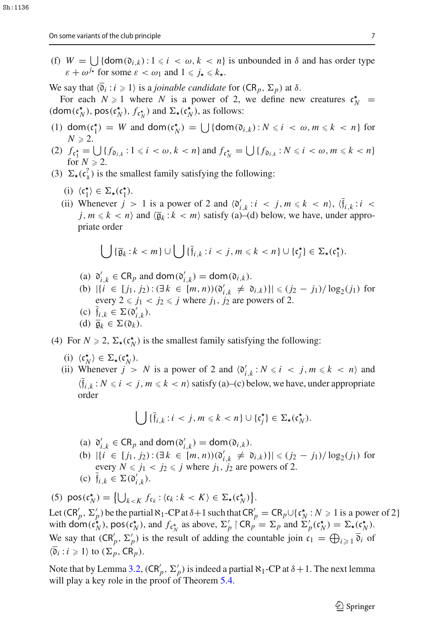(f)  $W = \bigcup \{ \text{dom}(\mathfrak{d}_{i,k}) : 1 \leq i \leq \omega, k \leq n \}$  is unbounded in  $\delta$  and has order type  $\varepsilon + \omega^{j_{\star}}$  for some  $\varepsilon < \omega_1$  and  $1 \leq j_{\star} \leq k_{\star}$ .

We say that  $\langle \overline{\mathfrak{d}}_i : i \geq 1 \rangle$  is a *joinable candidate* for  $(CR_p, \Sigma_p)$  at  $\delta$ .

For each  $N \ge 1$  where *N* is a power of 2, we define new creatures  $c_N^*$  $(\text{dom}(\mathfrak{c}_N^{\star}), \text{pos}(\mathfrak{c}_N^{\star}), f_{\mathfrak{c}_N^{\star}})$  and  $\Sigma_{\star}(\mathfrak{c}_N^{\star}),$  as follows:

- (1) dom( $c_1^*$ ) = *W* and dom( $c_N^*$ ) =  $\bigcup$  {dom( $\mathfrak{d}_{i,k}$ ):  $N \le i \le \omega, m \le k \le n$ } for  $N \geqslant 2$ .
- $(2)$   $f_{c_1^*} = \bigcup_{i \in I} \{f_{\mathfrak{d}_{i,k}} : 1 \leq i < \omega, k < n\}$  and  $f_{c_N^*} = \bigcup_{i \in I} \{f_{\mathfrak{d}_{i,k}} : N \leq i < \omega, m \leq k < n\}$ for  $N \geq 2$ .
- (3)  $\Sigma_{\star}(\mathfrak{c}_1^2)$  is the smallest family satisfying the following:
	- (i)  $\langle c_1^{\star} \rangle \in \Sigma_{\star}(c_1^{\star}).$
	- (ii) Whenever  $j > 1$  is a power of 2 and  $\langle \mathfrak{d}'_{i,k} : i < j, m \leq k < n \rangle$ ,  $\langle \mathfrak{f}_{i,k} : i < j, m \leq k \rangle$  $j, m \leq k \leq n$  and  $\langle \overline{\mathfrak{g}}_k : k < m \rangle$  satisfy (a)–(d) below, we have, under appropriate order

$$
\bigcup {\{\overline{\mathfrak{g}}_k : k < m\}} \cup \bigcup {\{\overline{\mathfrak{f}}_{i,k} : i < j, m \leq k < n\}} \cup {\{\mathfrak{c}_j^{\star}\}} \in \Sigma_{\star}(\mathfrak{c}_1^{\star}).
$$

- (a)  $\mathfrak{d}'_{i,k} \in \mathsf{CR}_p$  and dom $(\mathfrak{d}'_{i,k}) = \mathsf{dom}(\mathfrak{d}_{i,k}).$
- (b)  $|\{i \in [j_1, j_2) : (\exists k \in [m, n))(\mathfrak{d}'_{i,k} \neq \mathfrak{d}_{i,k})\}| \leq (j_2 j_1)/\log_2(j_1)$  for every  $2 \le j_1 < j_2 \le j$  where  $j_1, j_2$  are powers of 2.
- (c)  $f_{i,k} \in \Sigma(\mathfrak{d}'_{i,k}).$
- (d)  $\overline{\mathfrak{g}}_k \in \Sigma(\mathfrak{d}_k)$ .
- (4) For  $N \ge 2$ ,  $\Sigma_{\star}(\mathfrak{c}_N^{\star})$  is the smallest family satisfying the following:
	- (i)  $\langle \mathfrak{c}_N^{\star} \rangle \in \Sigma_{\star}(\mathfrak{c}_N^{\star}).$
	- (ii) Whenever  $j > N$  is a power of 2 and  $\langle \mathfrak{d}'_{i,k} : N \le i \le j, m \le k \le n \rangle$  and  $\langle \bar{f}_{i,k} : N \le i \le j, m \le k \le n \rangle$  satisfy (a)–(c) below, we have, under appropriate order

<span id="page-6-0"></span>
$$
\bigcup \{ \bar{f}_{i,k} : i < j, m \leq k < n \} \cup \{ \mathfrak{c}_j^\star \} \in \Sigma_\star(\mathfrak{c}_N^\star).
$$

- (a)  $\mathfrak{d}'_{i,k} \in \mathsf{CR}_p$  and dom $(\mathfrak{d}'_{i,k}) = \mathsf{dom}(\mathfrak{d}_{i,k}).$
- (b)  $|\{i \in [j_1, j_2) : (\exists k \in [m, n))(\mathfrak{d}'_{i,k} \neq \mathfrak{d}_{i,k})\}| \leq (j_2 j_1)/\log_2(j_1)$  for every  $N \le j_1 < j_2 \le j$  where  $j_1, j_2$  are powers of 2. (c)  $f_{i,k} \in \Sigma(\mathfrak{d}'_{i,k}).$

(5)  $\text{pos}(\mathfrak{c}_N^{\star}) = \left\{ \bigcup_{k < K} f_{\mathfrak{c}_k} : \langle \mathfrak{c}_k : k < K \rangle \in \Sigma_{\star}(\mathfrak{c}_N^{\star}) \right\}.$ Let  $(CR'_p, \Sigma'_p)$  be the partial  $\aleph_1$ -CP at  $\delta+1$  such that  $CR'_p = CR_p \cup \{c_N^* : N \geq 1 \text{ is a power of } 2\}$ with  $\text{dom}(\mathfrak{c}_N^{\kappa})$ ,  $\text{pos}(\mathfrak{c}_N^{\kappa})$ , and  $f_{\mathfrak{c}_N^{\kappa}}$  as above,  $\Sigma'_p \restriction \text{CR}_p = \Sigma_p$  and  $\overline{\Sigma}'_p(\mathfrak{c}_N^{\kappa}) = \Sigma_{\kappa}(\mathfrak{c}_N^{\kappa})$ . We say that  $(CR'_p, \Sigma'_p)$  is the result of adding the countable join  $\mathfrak{c}_1 = \bigoplus_{i \geq 1} \overline{\mathfrak{d}}_i$  of  $\langle \overline{\mathfrak{d}}_i : i \geqslant 1 \rangle$  to  $(\Sigma_p, \text{CR}_p)$ .

Note that by Lemma [3.2,](#page-5-1)  $(CR'_p, \Sigma'_p)$  is indeed a partial  $\aleph_1$ -CP at  $\delta + 1$ . The next lemma will play a key role in the proof of Theorem [5.4.](#page-12-0)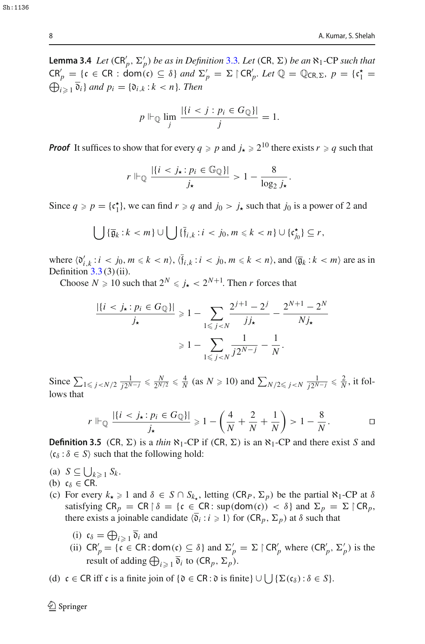**Lemma 3.4** *Let*  $(CR'_p, \Sigma'_p)$  *be as in Definition* [3.3](#page-5-2)*. Let*  $(CR, \Sigma)$  *be an*  $\aleph_1$ -CP *such that*  $CR'_p = \{c \in CR : \text{dom}(c) \subseteq \delta\}$  *and*  $\Sigma'_p = \Sigma \upharpoonright CR'_p$ . Let  $\mathbb{Q} = \mathbb{Q}_{CR,\Sigma}$ ,  $p = \{c_1^* = \emptyset\}$  $\bigoplus_{i\geqslant 1} \mathfrak{d}_i$  *and*  $p_i = \{\mathfrak{d}_{i,k} : k < n\}$ *. Then* 

$$
p \Vdash_{\mathbb{Q}} \lim_{j} \frac{|\{i < j : p_i \in G_{\mathbb{Q}}\}|}{j} = 1.
$$

*Proof* It suffices to show that for every  $q \ge p$  and  $j_{\star} \ge 2^{10}$  there exists  $r \ge q$  such that

$$
r \Vdash_{\mathbb{Q}} \frac{|\{i < j_{\star} : p_i \in \mathbb{G}_{\mathbb{Q}}\}|}{j_{\star}} > 1 - \frac{8}{\log_2 j_{\star}}
$$

.

Since  $q \ge p = \{c_1^*\}\text{, we can find } r \ge q \text{ and } j_0 > j_\star \text{ such that } j_0 \text{ is a power of } 2 \text{ and } j_0 \ge 0$ 

$$
\bigcup {\{\overline{\mathfrak{g}}_k : k < m\}} \cup \bigcup {\{\overline{\mathfrak{f}}_{i,k} : i < j_0, m \leq k < n\}} \cup {\{\mathfrak{c}_{j_0}^{\star}\}} \subseteq r,
$$

where  $\langle \mathfrak{d}'_{i,k} : i \leq j_0, m \leq k \leq n \rangle$ ,  $\langle \mathfrak{f}_{i,k} : i \leq j_0, m \leq k \leq n \rangle$ , and  $\langle \overline{\mathfrak{g}}_k : k \leq m \rangle$  are as in Definition  $3.3(3)(ii)$  $3.3(3)(ii)$ .

Choose  $N \ge 10$  such that  $2^N \le j_{\star} < 2^{N+1}$ . Then *r* forces that

$$
\frac{|\{i < j_{\star} : p_i \in G_{\mathbb{Q}}\}|}{j_{\star}} \ge 1 - \sum_{1 \le j < N} \frac{2^{j+1} - 2^j}{j j_{\star}} - \frac{2^{N+1} - 2^N}{N j_{\star}}
$$
\n
$$
\ge 1 - \sum_{1 \le j < N} \frac{1}{j 2^{N-j}} - \frac{1}{N}.
$$

Since  $\sum_{1 \le j \le N/2} \frac{1}{j2^{N-j}} \le \frac{N}{2^{N/2}} \le \frac{4}{N}$  (as  $N \ge 10$ ) and  $\sum_{N/2 \le j \le N} \frac{1}{j2^{N-j}} \le \frac{2}{N}$ , it follows that

$$
r \Vdash_{\mathbb{Q}} \frac{|\{i < j_{\star} : p_i \in G_{\mathbb{Q}}\}|}{j_{\star}} \geq 1 - \left(\frac{4}{N} + \frac{2}{N} + \frac{1}{N}\right) > 1 - \frac{8}{N}.
$$

<span id="page-7-0"></span>**Definition 3.5** (CR,  $\Sigma$ ) is a *thin*  $\aleph_1$ -CP if (CR,  $\Sigma$ ) is an  $\aleph_1$ -CP and there exist *S* and  $\langle c_{\delta} : \delta \in S \rangle$  such that the following hold:

- (a)  $S \subseteq \bigcup_{k \geqslant 1} S_k$ .
- (b)  $c_{\delta} \in \mathsf{CR}.$
- (c) For every  $k_{\star} \geq 1$  and  $\delta \in S \cap S_{k_{\star}}$ , letting  $(CR_P, \Sigma_p)$  be the partial  $\aleph_1$ -CP at  $\delta$ satisfying  $CR_p = CR \upharpoonright \delta = \{c \in CR : \sup(dom(c)) < \delta\}$  and  $\Sigma_p = \Sigma \upharpoonright CR_p$ , there exists a joinable candidate  $\langle \overline{\mathfrak{d}}_i : i \geq 1 \rangle$  for  $(CR_p, \Sigma_p)$  at  $\delta$  such that
	- (i)  $\mathfrak{c}_{\delta} = \bigoplus_{i \geqslant 1} \mathfrak{d}_i$  and
	- (ii)  $CR'_p = \{c \in CR : \text{dom}(c) \subseteq \delta\}$  and  $\Sigma'_p = \Sigma \upharpoonright CR'_p$  where  $(CR'_p, \Sigma'_p)$  is the result of adding  $\bigoplus_{i \geq 1} \overline{\mathfrak{d}}_i$  to  $(CR_p, \Sigma_p)$ .

<span id="page-7-1"></span>(d)  $c \in CR$  iff c is a finite join of  $\{ \mathfrak{d} \in CR : \mathfrak{d} \text{ is finite} \} \cup \bigcup {\{\Sigma(\mathfrak{c}_{\delta}) : \delta \in S\}}.$ 

Sh:1136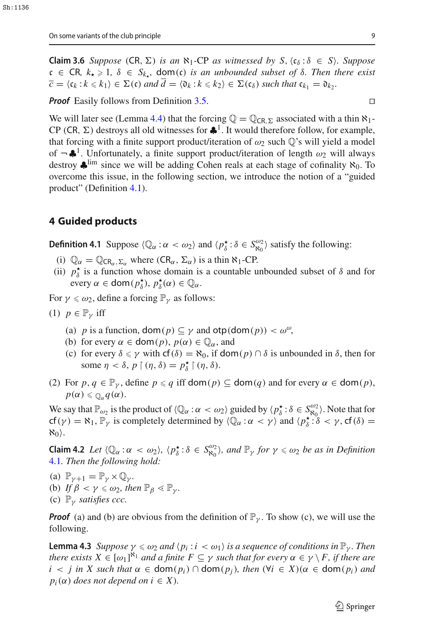**Claim 3.6** *Suppose* (CR,  $\Sigma$ ) *is an*  $\aleph_1$ -CP *as witnessed by*  $S$ ,  $\langle c_\delta : \delta \in S \rangle$ *. Suppose*  $c \in \textsf{CR}, k_{\star} \geq 1, \delta \in S_{k_{\star}}, \textsf{dom}(c) \textit{ is an unbounded subset of } \delta. \textit{ Then there exist }$  $\overline{c} = \langle c_k : k \leq k_1 \rangle \in \Sigma(c)$  *and*  $d = \langle \mathfrak{d}_k : k \leq k_2 \rangle \in \Sigma(c_{\delta})$  *such that*  $c_{k_1} = \mathfrak{d}_{k_2}$ .

*Proof* Easily follows from Definition [3.5.](#page-7-0) □

We will later see (Lemma [4.4\)](#page-9-0) that the forcing  $\mathbb{Q} = \mathbb{Q}_{\text{CR},\Sigma}$  associated with a thin  $\aleph_1$ -CP (CR,  $\Sigma$ ) destroys all old witnesses for  $\clubsuit^1$ . It would therefore follow, for example, that forcing with a finite support product/iteration of  $\omega_2$  such  $\mathbb{Q}$ 's will yield a model of  $\neg \clubsuit^1$ . Unfortunately, a finite support product/iteration of length  $\omega_2$  will always destroy  $\clubsuit^{\text{lim}}$  since we will be adding Cohen reals at each stage of cofinality  $\aleph_0$ . To overcome this issue, in the following section, we introduce the notion of a "guided product" (Definition [4.1\)](#page-8-1).

#### <span id="page-8-0"></span>**4 Guided products**

<span id="page-8-1"></span>**Definition 4.1** Suppose  $\langle \mathbb{Q}_\alpha : \alpha < \omega_2 \rangle$  and  $\langle p^{\star}_{\delta} : \delta \in S^{\omega_2}_{\aleph_0} \rangle$  satisfy the following:

- (i)  $\mathbb{Q}_{\alpha} = \mathbb{Q}_{CR_{\alpha},\Sigma_{\alpha}}$  where  $CR_{\alpha},\Sigma_{\alpha}$ ) is a thin  $\aleph_1$ -CP.
- (ii)  $p^*_{\delta}$  is a function whose domain is a countable unbounded subset of  $\delta$  and for every  $\alpha \in \text{dom}(p_{\delta}^{\star}), p_{\delta}^{\star}(\alpha) \in \mathbb{Q}_{\alpha}$ .

For  $\gamma \leq \omega_2$ , define a forcing  $\mathbb{P}_{\gamma}$  as follows:

$$
(1) \;\; p \in \mathbb{P}_\gamma \;\text{iff}\;\;
$$

- (a) *p* is a function,  $\text{dom}(p) \subseteq \gamma$  and  $\text{otp}(\text{dom}(p)) < \omega^{\omega}$ ,
- (b) for every  $\alpha \in \text{dom}(p)$ ,  $p(\alpha) \in \mathbb{Q}_\alpha$ , and
- (c) for every  $\delta \leq \gamma$  with  $cf(\delta) = \aleph_0$ , if  $dom(p) \cap \delta$  is unbounded in  $\delta$ , then for some  $\eta < \delta$ ,  $p \restriction (\eta, \delta) = p_{\delta}^{\star} \restriction (\eta, \delta)$ .
- (2) For  $p, q \in \mathbb{P}_\nu$ , define  $p \leq q$  iff dom( $p$ )  $\subseteq$  dom( $q$ ) and for every  $\alpha \in$  dom( $p$ ),  $p(\alpha) \leq \mathbb{O}_{\alpha} q(\alpha).$

We say that  $\mathbb{P}_{\omega_2}$  is the product of  $\langle \mathbb{Q}_\alpha : \alpha < \omega_2 \rangle$  guided by  $\langle p_\delta^{\star} : \delta \in S_{\aleph_0}^{\omega_2} \rangle$ . Note that for cf( $\gamma$ ) =  $\aleph_1$ ,  $\mathbb{P}_{\gamma}$  is completely determined by  $\langle \mathbb{Q}_{\alpha} : \alpha < \gamma \rangle$  and  $\langle p_{\delta}^{\star} : \delta < \gamma$ , cf( $\delta$ ) =  $\aleph_0$ .

**Claim 4.2** *Let*  $\langle \mathbb{Q}_\alpha : \alpha < \omega_2 \rangle$ ,  $\langle p^{\star}_{\delta} : \delta \in S^{\omega_2}_{\aleph_0} \rangle$ , and  $\mathbb{P}_\gamma$  for  $\gamma \leq \omega_2$  be as in Definition [4.1](#page-8-1)*. Then the following hold:*

- (a)  $\mathbb{P}_{\gamma+1} = \mathbb{P}_{\gamma} \times \mathbb{Q}_{\gamma}$ . (b) *If*  $\beta < \gamma \leq \omega_2$ , then  $\mathbb{P}_{\beta} \leq \mathbb{P}_{\gamma}$ .
- (c)  $\mathbb{P}_{\gamma}$  *satisfies ccc.*

*Proof* (a) and (b) are obvious from the definition of  $\mathbb{P}_{\nu}$ . To show (c), we will use the following.

<span id="page-8-2"></span>**Lemma 4.3** *Suppose*  $\gamma \leq \omega_2$  *and*  $\langle p_i : i \leq \omega_1 \rangle$  *is a sequence of conditions in*  $\mathbb{P}_{\gamma}$ *. Then there exists*  $X \in [\omega_1]^{\aleph_1}$  *and a finite*  $F \subseteq \gamma$  *such that for every*  $\alpha \in \gamma \setminus F$ *, if there are*  $i < j$  *in X such that*  $\alpha \in \text{dom}(p_i) \cap \text{dom}(p_j)$ *, then*  $(\forall i \in X)(\alpha \in \text{dom}(p_i)$  *and*  $p_i(\alpha)$  *does not depend on i*  $\in X$ *).*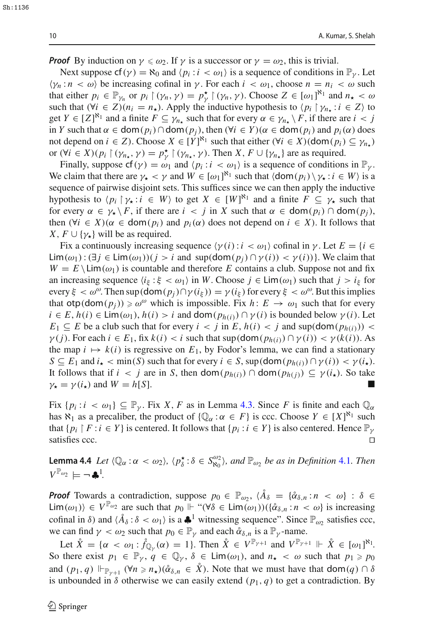*Proof* By induction on  $\gamma \leq \omega_2$ . If  $\gamma$  is a successor or  $\gamma = \omega_2$ , this is trivial.

Next suppose  $cf(\gamma) = \aleph_0$  and  $\langle p_i : i \langle \omega_1 \rangle$  is a sequence of conditions in  $\mathbb{P}_{\gamma}$ . Let  $\langle \gamma_n : n \langle \omega \rangle$  be increasing cofinal in  $\gamma$ . For each  $i \langle \omega_1$ , choose  $n = n_i \langle \omega \rangle$  such that either  $p_i \in \mathbb{P}_{\gamma_n}$  or  $p_i \upharpoonright (\gamma_n, \gamma) = p_{\gamma}^{\star} \upharpoonright (\gamma_n, \gamma)$ . Choose  $Z \in [\omega_1]^{\aleph_1}$  and  $n_{\star} < \omega$ such that  $(\forall i \in \mathbb{Z})(n_i = n_\star)$ . Apply the inductive hypothesis to  $\langle p_i | \gamma_{n_\star} : i \in \mathbb{Z} \rangle$  to get  $Y \in [Z]^{\aleph_1}$  and a finite  $F \subseteq \gamma_{n_\star}$  such that for every  $\alpha \in \gamma_{n_\star} \setminus F$ , if there are  $i < j$ in *Y* such that  $\alpha \in \text{dom}(p_i) \cap \text{dom}(p_j)$ , then  $(\forall i \in Y)(\alpha \in \text{dom}(p_i)$  and  $p_i(\alpha)$  does not depend on  $i \in \mathbb{Z}$ ). Choose  $X \in [Y]^{\aleph_1}$  such that either  $(\forall i \in \mathbb{X})(\text{dom}(p_i) \subseteq \gamma_{n_\star})$ or  $(\forall i \in X)(p_i \upharpoonright (\gamma_{n_\star}, \gamma) = p_\gamma^* \upharpoonright (\gamma_{n_\star}, \gamma)$ . Then *X*,  $F \cup \{\gamma_{n_\star}\}\$  are as required.

Finally, suppose  $cf(\gamma) = \omega_1$  and  $\langle p_i : i \langle \omega_1 \rangle$  is a sequence of conditions in  $\mathbb{P}_{\gamma}$ . We claim that there are  $\gamma_{\star} < \gamma$  and  $W \in [\omega_1]^{\aleph_1}$  such that  $\langle \text{dom}(p_i) \setminus \gamma_{\star} : i \in W \rangle$  is a sequence of pairwise disjoint sets. This suffices since we can then apply the inductive hypothesis to  $\langle p_i | \gamma_{\star} : i \in W \rangle$  to get  $X \in [W]^{\mathbb{N}_1}$  and a finite  $F \subseteq \gamma_{\star}$  such that for every  $\alpha \in \gamma_{\star} \backslash F$ , if there are  $i < j$  in X such that  $\alpha \in \text{dom}(p_i) \cap \text{dom}(p_j)$ , then  $(\forall i \in X)(\alpha \in \text{dom}(p_i)$  and  $p_i(\alpha)$  does not depend on  $i \in X$ ). It follows that *X*,  $F \cup \{\gamma_{\star}\}\$  will be as required.

Fix a continuously increasing sequence  $\langle \gamma(i) : i \langle \omega_1 \rangle$  cofinal in  $\gamma$ . Let  $E = \{i \in \mathbb{Z}\}$ Lim(ω<sub>1</sub>): (∃*j* ∈ Lim(ω<sub>1</sub>))(*j* > *i* and sup(dom( $p_j$ )∩ $\gamma$ (*i*)) <  $\gamma$ (*i*))}. We claim that  $W = E \setminus \text{Lim}(\omega_1)$  is countable and therefore *E* contains a club. Suppose not and fix an increasing sequence  $\langle i_{\xi} : \xi < \omega_1 \rangle$  in *W*. Choose  $j \in Lim(\omega_1)$  such that  $j > i_{\xi}$  for every  $\xi < \omega^{\omega}$ . Then sup(dom( $p_i$ ) $\cap \gamma(i_{\xi}) = \gamma(i_{\xi})$  for every  $\xi < \omega^{\omega}$ . But this implies that  $otp(dom(p_j)) \ge \omega^\omega$  which is impossible. Fix  $h: E \to \omega_1$  such that for every  $i \in E$ ,  $h(i) \in Lim(\omega_1)$ ,  $h(i) > i$  and dom $(p_{h(i)}) \cap \gamma(i)$  is bounded below  $\gamma(i)$ . Let  $E_1 \subseteq E$  be a club such that for every  $i < j$  in  $E$ ,  $h(i) < j$  and sup(dom $(p_{h(i)})$ ) <  $\gamma(j)$ . For each  $i \in E_1$ , fix  $k(i) < i$  such that  $\sup(\text{dom}(p_{h(i)}) \cap \gamma(i)) < \gamma(k(i))$ . As the map  $i \mapsto k(i)$  is regressive on  $E_1$ , by Fodor's lemma, we can find a stationary  $S \subseteq E_1$  and  $i_{\star} < \min(S)$  such that for every  $i \in S$ , sup(dom $(p_{h(i)}) \cap \gamma(i) < \gamma(i_{\star})$ . It follows that if  $i < j$  are in *S*, then dom $(p_{h(i)}) \cap$  dom $(p_{h(i)}) \subseteq \gamma(i_{\star})$ . So take  $\gamma_{\star} = \gamma(i_{\star})$  and  $W = h[S]$ .

Fix  $\{p_i : i < \omega_1\} \subseteq \mathbb{P}_\nu$ . Fix X, F as in Lemma [4.3.](#page-8-2) Since F is finite and each  $\mathbb{Q}_\alpha$ has  $\aleph_1$  as a precaliber, the product of  $\{\mathbb{Q}_\alpha : \alpha \in F\}$  is ccc. Choose  $Y \in [X]^{\aleph_1}$  such that  $\{p_i \mid F : i \in Y\}$  is centered. It follows that  $\{p_i : i \in Y\}$  is also centered. Hence  $\mathbb{P}_\gamma$ satisfies ccc.

<span id="page-9-0"></span>**Lemma 4.4** *Let*  $\langle \mathbb{Q}_{\alpha} : \alpha \langle \omega_2 \rangle, \langle p_{\delta}^{\star} : \delta \in S_{\aleph_0}^{\omega_2} \rangle$ , and  $\mathbb{P}_{\omega_2}$  *be as in Definition* [4.1](#page-8-1)*. Then*  $V^{\mathbb{P}_{\omega_2}} \models \neg \clubsuit^1.$ 

*Proof* Towards a contradiction, suppose  $p_0 \in \mathbb{P}_{\omega_2}$ ,  $\langle \mathring{A}_{\delta} = {\{\mathring{\alpha}_{\delta,n} : n < \omega\}} : \delta \in$ Lim( $\omega_1$ ) ∈  $V^{\mathbb{P}_{\omega_2}}$  are such that  $p_0 \Vdash ``(\forall \delta \in \text{Lim}(\omega_1))(\{\alpha_{\delta,n}: n < \omega\} \text{ is increasing})$ cofinal in  $\delta$ ) and  $\langle \mathring{A}_{\delta} : \delta < \omega_1 \rangle$  is a  $\clubsuit^1$  witnessing sequence". Since  $\mathbb{P}_{\omega}$  satisfies ccc, we can find  $\gamma < \omega_2$  such that  $p_0 \in \mathbb{P}_{\gamma}$  and each  $\alpha_{\delta,n}$  is a  $\mathbb{P}_{\gamma}$ -name.

Let  $\mathring{X} = {\alpha \langle \omega_1 : \mathring{f}_{\mathbb{Q}_\gamma}(\alpha) = 1}.$  Then  $\mathring{X} \in V^{\mathbb{P}_{\gamma+1}}$  and  $V^{\mathbb{P}_{\gamma+1}} \Vdash \mathring{X} \in [\omega_1]^{\aleph_1}$ . So there exist  $p_1 \in \mathbb{P}_\gamma, q \in \mathbb{Q}_\gamma, \delta \in \text{Lim}(\omega_1)$ , and  $n_\star < \omega$  such that  $p_1 \geq p_0$ and  $(p_1, q) \Vdash_{\mathbb{P}_{\gamma+1}} (\forall n \geq n_\star)(\alpha_{\delta,n} \in \mathring{X})$ . Note that we must have that dom $(q) \cap \delta$ is unbounded in  $\delta$  otherwise we can easily extend  $(p_1, q)$  to get a contradiction. By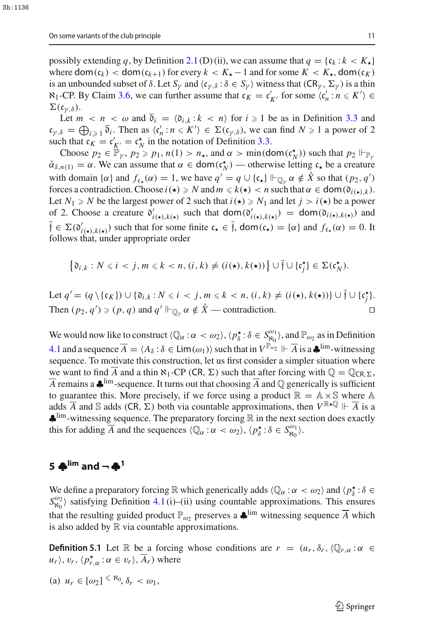possibly extending *q*, by Definition [2.1](#page-3-1) (D) (ii), we can assume that  $q = \{c_k : k < K_\star\}$ where  $\text{dom}(c_k) < \text{dom}(c_{k+1})$  for every  $k < K_\star - 1$  and for some  $K < K_\star$ ,  $\text{dom}(c_K)$ is an unbounded subset of  $\delta$ . Let  $S_\gamma$  and  $\langle c_{\gamma,\delta} : \delta \in S_\gamma \rangle$  witness that  $(CR_\gamma, \Sigma_\gamma)$  is a thin  $\aleph_1$ -CP. By Claim [3.6,](#page-7-1) we can further assume that  $c_K = c'_{K'}$  for some  $\langle c'_n : n \leq K' \rangle \in$  $\Sigma(\mathfrak{c}_{\nu,\delta}).$ 

Let  $m < n < \omega$  and  $\mathfrak{d}_i = \langle \mathfrak{d}_{i,k} : k < n \rangle$  for  $i \ge 1$  be as in Definition [3.3](#page-5-2) and  $c_{\gamma,\delta} = \bigoplus_{i \geq 1} \mathfrak{d}_i$ . Then as  $\langle c'_n : n \leq K' \rangle \in \Sigma(c_{\gamma,\delta})$ , we can find  $N \geq 1$  a power of 2 such that  $c_K = c'_{K'} = c_N^*$  in the notation of Definition [3.3.](#page-5-2)

Choose  $p_2 \in \mathbb{P}_\gamma$ ,  $p_2 \geq p_1$ ,  $n(1) > n_\star$ , and  $\alpha > \min(\text{dom}(\mathfrak{c}_N^{\star}))$  such that  $p_2 \Vdash_{\mathbb{P}_\gamma}$  $\alpha_{\delta,n(1)} = \alpha$ . We can assume that  $\alpha \in \text{dom}(\mathfrak{c}_N^{\star})$  — otherwise letting  $\mathfrak{c}_{\star}$  be a creature with domain { $\alpha$ } and  $f_{c_{\star}}(\alpha) = 1$ , we have  $q' = q \cup \{c_{\star}\}\Vdash_{\mathbb{Q}_\gamma} \alpha \notin \mathring{X}$  so that  $(p_2, q')$ forces a contradiction. Choose  $i(\star) \geq N$  and  $m \leq k(\star) < n$  such that  $\alpha \in \text{dom}(\mathfrak{d}_{i(\star),k})$ . Let  $N_1 \ge N$  be the largest power of 2 such that  $i(\star) \ge N_1$  and let  $j > i(\star)$  be a power of 2. Choose a creature  $\mathfrak{d}'_{i(\star),k(\star)}$  such that dom $(\mathfrak{d}'_{i(\star),k(\star)}) = \text{dom}(\mathfrak{d}_{i(\star),k(\star)})$  and  $\overline{f} \in \Sigma(\mathfrak{d}'_{i(\star),k(\star)})$  such that for some finite  $\mathfrak{c}_\star \in \overline{f}$ , dom $(\mathfrak{c}_\star) = {\alpha}$  and  $f_{\mathfrak{c}_\star}(\alpha) = 0$ . It follows that, under appropriate order

$$
\left\{\mathfrak{d}_{i,k}:N\leqslant i
$$

Let  $q' = (q \setminus \{\mathfrak{c}_K\}) \cup \{\mathfrak{d}_{i,k} : N \leq i \leq j, m \leq k \leq n, (i,k) \neq (i(\star), k(\star))\} \cup \overline{\mathfrak{f}} \cup \{\mathfrak{c}^{\star}_{j}\}.$ Then  $(p_2, q') \geq (p, q)$  and  $q' \Vdash_{\mathbb{Q}_\gamma} \alpha \notin \mathring{X}$  — contradiction.

We would now like to construct  $\langle \mathbb{Q}_\alpha : \alpha < \omega_2 \rangle$ ,  $\langle p_\delta^{\star} : \delta \in S_{\mathbb{R}_0}^{\omega_1} \rangle$ , and  $\mathbb{P}_{\omega_2}$  as in Definition [4.1](#page-8-1) and a sequence  $\overline{A} = \langle A_{\delta} : \delta \in \text{Lim}(\omega_1) \rangle$  such that in  $V^{\mathbb{P}_{\omega_2}} \Vdash \overline{A}$  is a  $\clubsuit^{\text{lim}}$ -witnessing sequence. To motivate this construction, let us first consider a simpler situation where we want to find  $\overline{A}$  and a thin  $\aleph_1$ -CP (CR,  $\Sigma$ ) such that after forcing with  $\mathbb{Q} = \mathbb{Q}_{CR, \Sigma}$ ,  $\overline{A}$  remains a  $\clubsuit$ <sup>lim</sup>-sequence. It turns out that choosing  $\overline{A}$  and  $\mathbb Q$  generically is sufficient to guarantee this. More precisely, if we force using a product  $\mathbb{R} = \mathbb{A} \times \mathbb{S}$  where  $\mathbb{A}$ adds  $\overline{A}$  and  $\Im$  adds (CR,  $\Sigma$ ) both via countable approximations, then  $V^{\mathbb{R}\star\mathbb{Q}} \Vdash \overline{A}$  is a ♣lim-witnessing sequence. The preparatory forcing <sup>R</sup> in the next section does exactly this for adding  $\overline{A}$  and the sequences  $\langle \mathbb{Q}_{\alpha} : \alpha < \omega_2 \rangle$ ,  $\langle p_{\delta}^{\star} : \delta \in S_{\aleph_0}^{\omega_1} \rangle$ .

### <span id="page-10-0"></span>**<sup>5</sup> ♣lim and ¬ ♣<sup>1</sup>**

We define a preparatory forcing  $\mathbb R$  which generically adds  $\langle \mathbb Q_\alpha : \alpha < \omega_2 \rangle$  and  $\langle p^{\star}_{\delta} : \delta \in \mathbb R$  $S_{\aleph_0}^{\omega_2}$  satisfying Definition [4.1](#page-8-1) (i)–(ii) using countable approximations. This ensures that the resulting guided product  $\mathbb{P}_{\omega_2}$  preserves a  $\clubsuit^{\text{lim}}$  witnessing sequence  $\overline{A}$  which is also added by  $\mathbb R$  via countable approximations.

**Definition 5.1** Let R be a forcing whose conditions are  $r = (u_r, \delta_r, \langle \mathbb{Q}_{r,\alpha} : \alpha \in \mathbb{R}^r)$  $u_r$ ,  $v_r$ ,  $\langle p_{r,\alpha}^{\star} : \alpha \in v_r \rangle$ ,  $\overline{A}_r$ ) where

(a) 
$$
u_r \in [\omega_2]^{<\aleph_0}, \delta_r < \omega_1
$$
,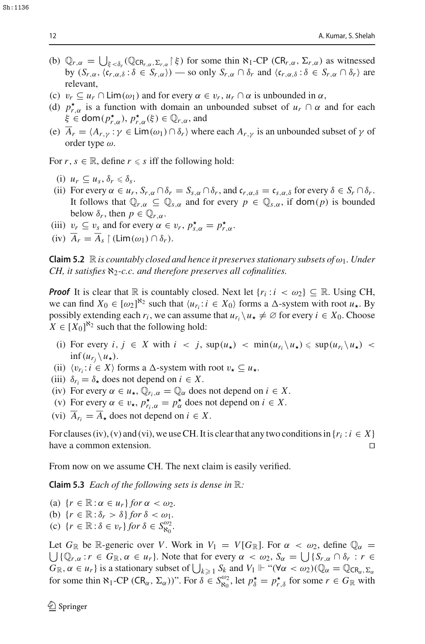- (b)  $\mathbb{Q}_{r,\alpha} = \bigcup_{\xi < \delta_r} (\mathbb{Q}_{CR_{r,\alpha},\Sigma_{r,\alpha}} | \xi)$  for some thin  $\aleph_1$ -CP (CR<sub>*r*, $\alpha$ </sub>,  $\Sigma_{r,\alpha}$ ) as witnessed by  $(S_{r,\alpha}, \langle c_{r,\alpha,\delta} : \delta \in S_{r,\alpha} \rangle)$  — so only  $S_{r,\alpha} \cap \delta_r$  and  $\langle c_{r,\alpha,\delta} : \delta \in S_{r,\alpha} \cap \delta_r \rangle$  are relevant,
- (c)  $v_r \subseteq u_r \cap \text{Lim}(\omega_1)$  and for every  $\alpha \in v_r$ ,  $u_r \cap \alpha$  is unbounded in  $\alpha$ ,
- (d)  $p_{r,\alpha}^{\star}$  is a function with domain an unbounded subset of  $u_r \cap \alpha$  and for each  $\xi \in \text{dom}(p_{r,\alpha}^{\star}), p_{r,\alpha}^{\star}(\xi) \in \mathbb{Q}_{r,\alpha}$ , and
- (e)  $\overline{A}_r = \langle A_{r,\nu} : \gamma \in \text{Lim}(\omega_1) \cap \delta_r \rangle$  where each  $A_{r,\nu}$  is an unbounded subset of  $\gamma$  of order type  $\omega$ .

For  $r, s \in \mathbb{R}$ , define  $r \leq s$  iff the following hold:

- (i)  $u_r \subseteq u_s, \delta_r \leq \delta_s$ .
- (ii) For every  $\alpha \in u_r$ ,  $S_{r,\alpha} \cap \delta_r = S_{s,\alpha} \cap \delta_r$ , and  $\mathfrak{c}_{r,\alpha,\delta} = \mathfrak{c}_{s,\alpha,\delta}$  for every  $\delta \in S_r \cap \delta_r$ . It follows that  $\mathbb{Q}_{r,q} \subseteq \mathbb{Q}_{s,q}$  and for every  $p \in \mathbb{Q}_{s,q}$ , if  $\text{dom}(p)$  is bounded below  $\delta_r$ , then  $p \in \mathbb{Q}_{r,\alpha}$ .
- (iii)  $v_r \subseteq v_s$  and for every  $\alpha \in v_r$ ,  $p_{s,\alpha}^* = p_{r,\alpha}^*$ .
- $(iv)$   $\overline{A}_r = \overline{A}_s \upharpoonright (\text{Lim}(\omega_1) \cap \delta_r).$

**Claim 5.2**  $\mathbb R$  *is countably closed and hence it preserves stationary subsets of*  $\omega_1$ *. Under CH, it satisfies* ℵ2*-c.c. and therefore preserves all cofinalities.*

*Proof* It is clear that  $\mathbb R$  is countably closed. Next let  $\{r_i : i < \omega_2\} \subseteq \mathbb R$ . Using CH, we can find  $X_0 \in [\omega_2]^{\aleph_2}$  such that  $\langle u_{r_i}: i \in X_0 \rangle$  forms a  $\triangle$ -system with root  $u_\star$ . By possibly extending each  $r_i$ , we can assume that  $u_{r_i} \setminus u_* \neq \emptyset$  for every  $i \in X_0$ . Choose  $X \in [X_0]^{\aleph_2}$  such that the following hold:

- (i) For every  $i, j \in X$  with  $i < j$ ,  $\sup(u_\star) < \min(u_r, \ u_\star) \leq \sup(u_r, u_\star) <$  $\inf(u_{r_i} \backslash u_{\star}).$
- (ii)  $\langle v_{r_i} : i \in X \rangle$  forms a  $\Delta$ -system with root  $v_{\star} \subseteq u_{\star}$ .
- (iii)  $\delta_{r_i} = \delta_{\star}$  does not depend on  $i \in X$ .
- (iv) For every  $\alpha \in u_\star$ ,  $\mathbb{Q}_{r_i,\alpha} = \mathbb{Q}_\alpha$  does not depend on  $i \in X$ .
- (v) For every  $\alpha \in v_\star$ ,  $p_{r_i,\alpha}^\star = p_\alpha^\star$  does not depend on  $i \in X$ .
- (vi)  $\overline{A}_{r_i} = \overline{A}_{\star}$  does not depend on  $i \in X$ .

For clauses (iv), (v) and (vi), we use CH. It is clear that any two conditions in  $\{r_i : i \in X\}$ <br>have a common extension. have a common extension. 

From now on we assume CH. The next claim is easily verified.

**Claim 5.3** *Each of the following sets is dense in* R*:*

(a)  $\{r \in \mathbb{R} : \alpha \in u_r\}$  *for*  $\alpha < \omega_2$ *.* (b)  $\{r \in \mathbb{R} : \delta_r > \delta\}$  *for*  $\delta < \omega_1$ *.* (c)  $\{r \in \mathbb{R} : \delta \in v_r\}$  *for*  $\delta \in S_{\aleph_0}^{\omega_2}$ .

Let  $G_{\mathbb{R}}$  be  $\mathbb{R}$ -generic over *V*. Work in  $V_1 = V[G_{\mathbb{R}}]$ . For  $\alpha < \omega_2$ , define  $\mathbb{Q}_{\alpha} =$  $\bigcup {\mathbb Q}_{r,\alpha} : r \in G_{\mathbb R}, \alpha \in u_r$ . Note that for every  $\alpha < \omega_2$ ,  $S_\alpha = \bigcup {\{S_{r,\alpha} \cap \delta_r : r \in G_{\mathbb R}, a \in G_{\mathbb R}\}}$  $G_{\mathbb{R}}$ ,  $\alpha \in u_r$  is a stationary subset of  $\bigcup_{k \geq 1} S_k$  and  $V_1 \Vdash ``(\forall \alpha < \omega_2)(\mathbb{Q}_\alpha = \mathbb{Q}_{CR_\alpha, \Sigma_\alpha})$ for some thin  $\aleph_1$ -CP ( $CR_\alpha, \Sigma_\alpha$ ))". For  $\delta \in S_{\aleph_0}^{\omega_2}$ , let  $p^*_{\delta} = p^*_{r,\delta}$  for some  $r \in G_\mathbb{R}$  with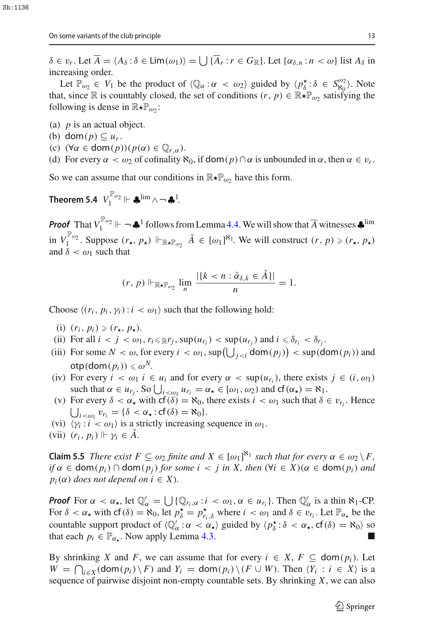$\delta \in v_r$ . Let  $\overline{A} = \langle A_\delta : \delta \in \text{Lim}(\omega_1) \rangle = \bigcup \{\overline{A}_r : r \in G_\mathbb{R}\}$ . Let  $\{\alpha_{\delta,n} : n < \omega\}$  list  $A_\delta$  in increasing order.

Let  $\mathbb{P}_{\omega_2} \in V_1$  be the product of  $\langle \mathbb{Q}_\alpha : \alpha < \omega_2 \rangle$  guided by  $\langle p_\delta^* : \delta \in S_{\alpha_2}^{\omega_2} \rangle$ . Note that, since R is countably closed, the set of conditions  $(r, p) \in \mathbb{R} \star \mathbb{P}_{\omega}$ , satisfying the following is dense in  $\mathbb{R} \star \mathbb{P}_{\omega_2}$ :

- (a) *p* is an actual object.
- (b) dom $(p) \subseteq u_r$ .
- (c)  $(\forall \alpha \in \text{dom}(p))(p(\alpha) \in \mathbb{Q}_{r,q}).$
- (d) For every  $\alpha < \omega_2$  of cofinality  $\aleph_0$ , if dom( $p$ )  $\cap \alpha$  is unbounded in  $\alpha$ , then  $\alpha \in v_r$ .

So we can assume that our conditions in  $\mathbb{R} \star \mathbb{P}_{\omega}$  have this form.

Theorem 5.4  $\left\|V_1^{\mathbb{P}_{\omega_2}}\right\| \vdash \clubsuit^{\lim} \wedge \neg \clubsuit^1.$ 

*Proof* That  $V_1^{\mathbb{P}_{\omega_2}} \Vdash \neg \clubsuit^1$  follows from Lemma [4.4.](#page-9-0) We will show that  $\overline{A}$  witnesses  $\clubsuit$ <sup>lim</sup> in  $V_1^{\mathbb{P}_{\omega_2}}$ . Suppose  $(r_\star, p_\star) \Vdash_{\mathbb{R} \star \mathbb{P}_{\omega_2}} \hat{A} \in [\omega_1]^{\aleph_1}$ . We will construct  $(r, p) \geq r_\star, p_\star$ and  $\delta < \omega_1$  such that

<span id="page-12-0"></span>
$$
(r, p) \Vdash_{\mathbb{R} \star \mathbb{P}_{\omega_2}} \lim_n \frac{|\{k < n : \mathring{\alpha}_{\delta,k} \in \mathring{A}\}|}{n} = 1.
$$

Choose  $\langle (r_i, p_i, \gamma_i) : i \langle \omega_1 \rangle$  such that the following hold:

- (i)  $(r_i, p_i) \geqslant (r_\star, p_\star).$
- (ii) For all  $i < j < \omega_1$ ,  $r_i \leqslant \mathbb{R}r_j$ ,  $\sup(u_{r_i}) < \sup(u_{r_j})$  and  $i \leqslant \delta_{r_i} < \delta_{r_j}$ .
- (iii) For some  $N < \omega$ , for every  $i < \omega_1$ , sup $\left(\bigcup_{j < i} \text{dom}(p_j)\right) < \text{sup}(\text{dom}(p_i))$  and  $otp(\text{dom}(p_i)) \leq \omega^N$ .
- (iv) For every  $i < \omega_1$   $i \in u_i$  and for every  $\alpha < \sup(u_{r_i})$ , there exists  $j \in (i, \omega_1)$ such that  $\alpha \in u_{r_j}$ . So  $\bigcup_{i < \omega_1} u_{r_i} = \alpha_\star \in [\omega_1, \omega_2)$  and  $cf(\alpha_\star) = \aleph_1$ .
- (v) For every  $\delta < \alpha_{\star}$  with  $cf(\delta) = \aleph_0$ , there exists  $i < \omega_1$  such that  $\delta \in v_{r_i}$ . Hence  $\bigcup_{i < \omega_1} v_{r_i} = \{\delta < \alpha_{\star} : cf(\delta) = \aleph_0\}.$  $\bigcup_{i < \omega_1} v_{r_i} = \{\delta < \alpha_\star : \text{cf}(\delta) = \aleph_0\}.$
- (vi)  $\langle \gamma_i : i \langle \omega_1 \rangle$  is a strictly increasing sequence in  $\omega_1$ .
- (vii)  $(r_i, p_i) \Vdash \gamma_i \in A$ .

**Claim 5.5** *There exist*  $F \subseteq \omega_2$  *finite and*  $X \in [\omega_1]^{\aleph_1}$  *such that for every*  $\alpha \in \omega_2 \setminus F$ *,*  $if \alpha \in \text{dom}(p_i) \cap \text{dom}(p_j)$  *for some i* < *j in X, then*  $(\forall i \in X)(\alpha \in \text{dom}(p_i)$  *and*  $p_i(\alpha)$  *does not depend on i*  $\in X$ *).* 

*Proof* For  $\alpha < \alpha_\star$ , let  $\mathbb{Q}_\alpha' = \bigcup \{ \mathbb{Q}_{r_i, \alpha} : i < \omega_1, \alpha \in u_{r_i} \}$ . Then  $\mathbb{Q}_\alpha'$  is a thin  $\aleph_1$ -CP. For  $\delta < \alpha_\star$  with  $cf(\delta) = \aleph_0$ , let  $p_\delta^\star = p_{r_i,\delta}^\star$  where  $i < \omega_1$  and  $\delta \in v_{r_i}$ . Let  $\mathbb{P}_{\alpha_\star}$  be the countable support product of  $\langle \mathbb{Q}'_{\alpha} : \alpha \langle \alpha_{\star} \rangle$  guided by  $\langle p_{\delta}^{\star} : \delta \langle \alpha_{\star}, \mathsf{cf}(\delta) \rangle = \aleph_0 \rangle$  so that each  $p_i \in \mathbb{P}_{\alpha_{\star}}$ . Now apply Lemma [4.3.](#page-8-2)

By shrinking *X* and *F*, we can assume that for every  $i \in X$ ,  $F \subseteq \text{dom}(p_i)$ . Let  $W = \bigcap_{i \in X} (\text{dom}(p_i) \setminus F)$  and  $Y_i = \text{dom}(p_i) \setminus (F \cup W)$ . Then  $\langle Y_i : i \in X \rangle$  is a sequence of pairwise disjoint non-empty countable sets. By shrinking *X*, we can also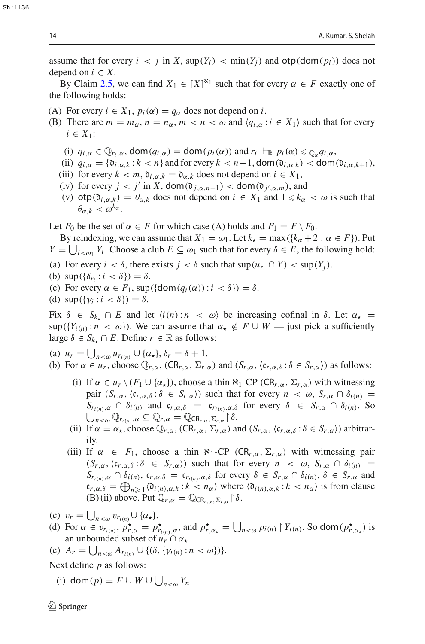assume that for every  $i < j$  in X, sup( $Y_i$ )  $< \min(Y_i)$  and  $otp(\text{dom}(p_i))$  does not depend on  $i \in X$ .

By Claim [2.5,](#page-4-3) we can find  $X_1 \in [X]^{N_1}$  such that for every  $\alpha \in F$  exactly one of the following holds:

- (A) For every  $i \in X_1$ ,  $p_i(\alpha) = q_\alpha$  does not depend on *i*.
- (B) There are  $m = m_\alpha$ ,  $n = n_\alpha$ ,  $m < n < \omega$  and  $\langle q_{i,\alpha} : i \in X_1 \rangle$  such that for every *i* ∈ *X*1:
	- (i)  $q_{i,\alpha} \in \mathbb{Q}_{r_i,\alpha}$ , dom $(q_{i,\alpha}) =$  dom $(p_i(\alpha))$  and  $r_i \Vdash_{\mathbb{R}} p_i(\alpha) \leq \mathbb{Q}_{\alpha} q_{i,\alpha}$ ,
	- (ii)  $q_{i,\alpha} = \{ \mathfrak{d}_{i,\alpha,k} : k < n \}$  and for every  $k < n-1$ , dom $(\mathfrak{d}_{i,\alpha,k}) <$  dom $(\mathfrak{d}_{i,\alpha,k+1})$ ,
	- (iii) for every  $k < m$ ,  $\mathfrak{d}_{i,\alpha,k} = \mathfrak{d}_{\alpha,k}$  does not depend on  $i \in X_1$ ,
	- (iv) for every  $j < j'$  in  $X$ , dom $(\mathfrak{d}_{j,\alpha,n-1}) <$  dom $(\mathfrak{d}_{j',\alpha,m})$ , and
	- (v)  $\text{otp}(\mathfrak{d}_{i,\alpha,k}) = \theta_{\alpha,k}$  does not depend on  $i \in X_1$  and  $1 \leq k_\alpha < \omega$  is such that  $\theta_{\alpha k} < \omega^{k_{\alpha}}$ .

Let  $F_0$  be the set of  $\alpha \in F$  for which case (A) holds and  $F_1 = F \setminus F_0$ .

By reindexing, we can assume that  $X_1 = \omega_1$ . Let  $k_{\star} = \max({k_{\alpha} + 2 : \alpha \in F})$ . Put  $Y = \bigcup_{i < \omega_1} Y_i$ . Choose a club  $E \subseteq \omega_1$  such that for every  $\delta \in E$ , the following hold:

- (a) For every  $i < \delta$ , there exists  $j < \delta$  such that  $\sup(u_{r_i} \cap Y) < \sup(Y_i)$ .
- (b)  $\sup(\{\delta_{r_i} : i < \delta\}) = \delta$ .
- (c) For every  $\alpha \in F_1$ , sup( $\{dom(q_i(\alpha)): i < \delta\}) = \delta$ .
- (d)  $\sup(\{\gamma_i : i < \delta\}) = \delta$ .

Fix  $\delta \in S_{k_+} \cap E$  and let  $\langle i(n) : n \langle \omega \rangle$  be increasing cofinal in  $\delta$ . Let  $\alpha_{\star} =$  $\sup({Y_i}_{(n)} : n < \omega)$ ). We can assume that  $\alpha_{\star} \notin F \cup W$  — just pick a sufficiently large  $\delta \in S_{k_+} \cap E$ . Define  $r \in \mathbb{R}$  as follows:

(a)  $u_r = \bigcup_{n < \omega} u_{r_{i(n)}} \cup \{\alpha_\star\}, \delta_r = \delta + 1.$ 

- (b) For  $\alpha \in u_r$ , choose  $\mathbb{Q}_{r,\alpha}$ ,  $CR_{r,\alpha}, \Sigma_{r,\alpha}$ ) and  $(S_{r,\alpha}, \langle c_{r,\alpha,\delta} : \delta \in S_{r,\alpha} \rangle)$  as follows:
	- (i) If  $\alpha \in u_r \setminus (F_1 \cup \{\alpha_{\star}\})$ , choose a thin  $\aleph_1$ -CP (CR<sub>r, $\alpha$ </sub>,  $\Sigma_{r,\alpha}$ ) with witnessing pair  $(S_{r,\alpha},\langle \mathfrak{c}_{r,\alpha,\delta} : \delta \in S_{r,\alpha} \rangle)$  such that for every  $n < \omega$ ,  $S_{r,\alpha} \cap \delta_{i(n)} =$  $S_{r_{i(n)},\alpha} \cap \delta_{i(n)}$  and  $c_{r,\alpha,\delta} = c_{r_{i(n)},\alpha,\delta}$  for every  $\delta \in S_{r,\alpha} \cap \delta_{i(n)}$ . So  $\bigcup_{n<\omega}^{\infty} \mathbb{Q}_{r_{i(n)},\alpha} \subseteq \mathbb{Q}_{r,\alpha} = \mathbb{Q}_{CR_{r,\alpha},\Sigma_{r,\alpha}} \upharpoonright \delta.$
	- (ii) If  $\alpha = \alpha_{\star}$ , choose  $\mathbb{Q}_{r,\alpha}$ ,  $CR_{r,\alpha}, \Sigma_{r,\alpha}$ ) and  $(S_{r,\alpha}, \langle c_{r,\alpha,\delta} : \delta \in S_{r,\alpha} \rangle)$  arbitrarily.
	- (iii) If  $\alpha \in F_1$ , choose a thin  $\aleph_1$ -CP (CR<sub>r, $\alpha$ </sub>,  $\Sigma_{r,\alpha}$ ) with witnessing pair  $(S_{r,\alpha}, \langle c_{r,\alpha,\delta} : \delta \in S_{r,\alpha} \rangle)$  such that for every  $n < \omega$ ,  $S_{r,\alpha} \cap \delta_{i(n)} =$  $S_{r_{i(n)},\alpha} \cap \delta_{i(n)}, \mathfrak{c}_{r,\alpha,\delta} = \mathfrak{c}_{r_{i(n)},\alpha,\delta}$  for every  $\delta \in S_{r,\alpha} \cap \delta_{i(n)}, \delta \in S_{r,\alpha}$  and  $c_{r,\alpha,\delta} = \bigoplus_{n \geq 1} \langle \mathfrak{d}_{i(n),\alpha,k} : k < n_\alpha \rangle$  where  $\langle \mathfrak{d}_{i(n),\alpha,k} : k < n_\alpha \rangle$  is from clause (B) (ii) above. Put  $\overline{\mathbb{Q}}_{r,\alpha} = \overline{\mathbb{Q}}_{\mathsf{CR}_{r,\alpha},\Sigma_{r,\alpha}} \upharpoonright \delta$ .
- (c)  $v_r = \bigcup_{n < \omega} v_{r_{i(n)}} \cup \{\alpha_\star\}.$
- (d) For  $\alpha \in v_{r_{i(n)}}, p_{r,\alpha}^* = p_{r_{i(n)},\alpha}^*$ , and  $p_{r,\alpha_*}^* = \bigcup_{n < \omega} p_{i(n)} \upharpoonright Y_{i(n)}$ . So dom $(p_{r,\alpha_*}^*)$  is an unbounded subset of  $u_r \cap \alpha_{\star}$ .

(e) 
$$
A_r = \bigcup_{n < \omega} A_{r_{i(n)}} \cup \{ (\delta, \{ \gamma_{i(n)} : n < \omega \}) \}.
$$

Next define *p* as follows:

(i) dom $(p) = F \cup W \cup \bigcup_{n < \omega} Y_n$ .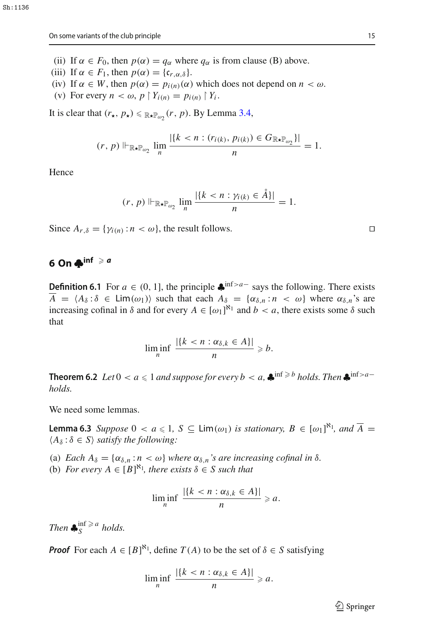- (ii) If  $\alpha \in F_0$ , then  $p(\alpha) = q_\alpha$  where  $q_\alpha$  is from clause (B) above.
- (iii) If  $\alpha \in F_1$ , then  $p(\alpha) = \{c_{r,\alpha,\delta}\}.$
- (iv) If  $\alpha \in W$ , then  $p(\alpha) = p_{i(n)}(\alpha)$  which does not depend on  $n < \omega$ .
- (v) For every  $n < \omega$ ,  $p \restriction Y_{i(n)} = p_{i(n)} \restriction Y_i$ .

It is clear that  $(r_{\star}, p_{\star}) \leq \mathbb{R}_{\star}$   $\mathbb{P}_{\omega_2}(r, p)$ . By Lemma [3.4,](#page-6-0)

$$
(r, p) \Vdash_{\mathbb{R} \star \mathbb{P}_{\omega_2}} \lim_{n} \frac{|\{k < n : (r_{i(k)}, p_{i(k)}) \in G_{\mathbb{R} \star \mathbb{P}_{\omega_2}}\}|}{n} = 1.
$$

Hence

$$
(r, p) \Vdash_{\mathbb{R} \star \mathbb{P}_{\omega_2}} \lim_n \frac{|\{k < n : \gamma_{i(k)} \in \mathring{A}\}|}{n} = 1.
$$

Since  $A_{r,\delta} = \{\gamma_{i(n)} : n < \omega\}$ , the result follows.

# <span id="page-14-0"></span>**6** On  $\clubsuit$ <sup>inf</sup>  $\geq a$

<span id="page-14-1"></span>**Definition 6.1** For  $a \in (0, 1]$ , the principle  $\clubsuit$ <sup>inf>*a*-</sup> says the following. There exists  $\overline{A} = \langle A_{\delta} : \delta \in \text{Lim}(\omega_1) \rangle$  such that each  $A_{\delta} = \{ \alpha_{\delta,n} : n \langle \omega \rangle \}$  where  $\alpha_{\delta,n}$ 's are increasing cofinal in  $\delta$  and for every  $A \in [\omega_1]^{\mathbb{N}_1}$  and  $b < a$ , there exists some  $\delta$  such that

<span id="page-14-2"></span>
$$
\liminf_{n} \frac{|\{k < n : \alpha_{\delta,k} \in A\}|}{n} \geq b.
$$

<span id="page-14-3"></span>**Theorem 6.2** *Let*  $0 < a \leq 1$  *and suppose for every*  $b < a$ ,  $\clubsuit$ <sup>inf  $\geq b$ </sup> *holds. Then*  $\clubsuit$ <sup>inf  $\geq a$ -</sup> *holds.*

We need some lemmas.

**Lemma 6.3** *Suppose*  $0 < a \le 1$ ,  $S \subseteq \text{Lim}(\omega_1)$  *is stationary,*  $B \in [\omega_1]^{\aleph_1}$ *, and*  $\overline{A} =$  $\langle A_\delta : \delta \in S \rangle$  *satisfy the following:* 

(a) *Each*  $A_{\delta} = {\alpha_{\delta,n} : n < \omega}$  *where*  $\alpha_{\delta,n}$  *s* are increasing cofinal in  $\delta$ .

(b) *For every*  $A \in [B]^{\aleph_1}$ , there exists  $\delta \in S$  such that

$$
\liminf_{n} \frac{|\{k < n : \alpha_{\delta,k} \in A\}|}{n} \geqslant a.
$$

*Then*  $\clubsuit_{S}^{\inf \ge a}$  *holds.* 

*Proof* For each  $A \in [B]^{\aleph_1}$ , define  $T(A)$  to be the set of  $\delta \in S$  satisfying

$$
\liminf_{n} \frac{|\{k < n : \alpha_{\delta,k} \in A\}|}{n} \geqslant a.
$$

 $\mathcal{D}$  Springer

$$
\overline{a}
$$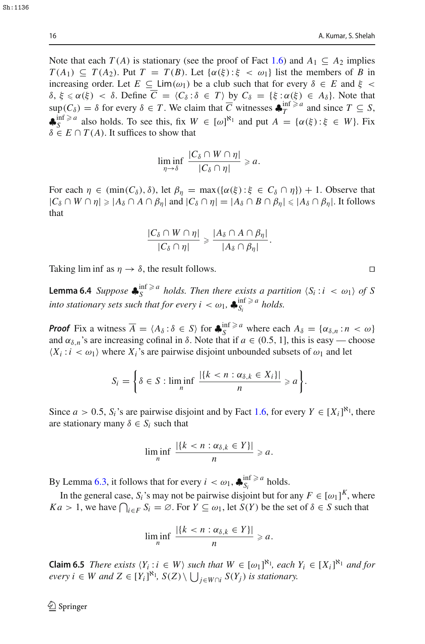Sh:1136

Note that each  $T(A)$  is stationary (see the proof of Fact [1.6\)](#page-2-0) and  $A_1 \subseteq A_2$  implies  $T(A_1) \subseteq T(A_2)$ . Put  $T = T(B)$ . Let  $\{\alpha(\xi): \xi < \omega_1\}$  list the members of *B* in increasing order. Let  $E \subseteq \text{Lim}(\omega_1)$  be a club such that for every  $\delta \in E$  and  $\xi$  <  $δ, ξ ≤ α(ξ) < δ$ . Define  $\overline{C} = \langle C_δ : δ ∈ T \rangle$  by  $C_δ = \{ξ : α(ξ) ∈ A_δ\}$ . Note that  $\sup_{\Omega} (C_{\delta}) = \delta$  for every  $\delta \in T$ . We claim that  $\overline{C}$  witnesses  $\clubsuit_T^{\inf \geq a}$  and since  $T \subseteq S$ ,  $\clubsuit_S^{\inf \ge a}$  also holds. To see this, fix  $W \in [\omega]^{\aleph_1}$  and put  $A = {\alpha(\xi) : \xi \in W}$ . Fix  $\delta \in E \cap T(A)$ . It suffices to show that

$$
\liminf_{\eta\to\delta}\frac{|C_{\delta}\cap W\cap\eta|}{|C_{\delta}\cap\eta|}\geqslant a.
$$

For each  $\eta \in (\min(C_\delta), \delta)$ , let  $\beta_n = \max(\{\alpha(\xi): \xi \in C_\delta \cap \eta\}) + 1$ . Observe that  $|C_\delta \cap W \cap \eta| \geq |A_\delta \cap A \cap \beta_\eta|$  and  $|C_\delta \cap \eta| = |A_\delta \cap B \cap \beta_\eta| \leq |A_\delta \cap \beta_\eta|$ . It follows that

$$
\frac{|C_{\delta}\cap W\cap\eta|}{|C_{\delta}\cap\eta|}\geqslant\frac{|A_{\delta}\cap A\cap\beta_{\eta}|}{|A_{\delta}\cap\beta_{\eta}|}.
$$

Taking lim inf as  $\eta \to \delta$ , the result follows.

<span id="page-15-1"></span>**Lemma 6.4** *Suppose*  $\clubsuit^{\text{inf}\geq a}_{S}$  *holds. Then there exists a partition*  $\langle S_i : i \langle \omega_1 \rangle \text{ of } S$ *into stationary sets such that for every*  $i < \omega_1$ *,*  $\bigstar_{S_i}^{\text{inf}} \geq a$  *holds.* 

*Proof* Fix a witness  $\overline{A} = \langle A_{\delta} : \delta \in S \rangle$  for  $\clubsuit_{S}^{\inf \geq a}$  where each  $A_{\delta} = \{ \alpha_{\delta,n} : n < \omega \}$ and  $\alpha_{\delta,n}$ 's are increasing cofinal in  $\delta$ . Note that if  $a \in (0.5, 1]$ , this is easy — choose  $(X_i : i < \omega_1)$  where  $X_i$ 's are pairwise disjoint unbounded subsets of  $\omega_1$  and let

$$
S_i = \left\{ \delta \in S : \liminf_n \frac{|\{k < n : \alpha_{\delta,k} \in X_i\}|}{n} \geq a \right\}.
$$

Since *a* > 0.5, *S<sub>i</sub>*'s are pairwise disjoint and by Fact [1.6,](#page-2-0) for every  $Y \in [X_i]^{N_1}$ , there are stationary many  $\delta \in S_i$  such that

$$
\liminf_{n} \frac{|\{k < n : \alpha_{\delta,k} \in Y\}|}{n} \geqslant a.
$$

By Lemma [6.3,](#page-14-2) it follows that for every  $i < \omega_1$ ,  $\clubsuit_{S_i}^{\inf \ge a}$  holds.

In the general case,  $S_i$ 's may not be pairwise disjoint but for any  $F \in [\omega_1]^K$ , where *Ka* > 1, we have  $\bigcap_{i \in F} S_i = \emptyset$ . For  $Y \subseteq \omega_1$ , let  $S(Y)$  be the set of  $\delta \in S$  such that

$$
\liminf_{n} \frac{|\{k < n : \alpha_{\delta,k} \in Y\}|}{n} \geqslant a.
$$

<span id="page-15-0"></span>**Claim 6.5** *There exists*  $\langle Y_i : i \in W \rangle$  *such that*  $W \in [\omega_1]^{\aleph_1}$ *, each*  $Y_i \in [X_i]^{\aleph_1}$  *and for every i* ∈ *W* and  $Z$  ∈  $[Y_i]^{k_1}$ ,  $S(Z) \setminus \bigcup_{j \in W \cap i} S(Y_j)$  is stationary.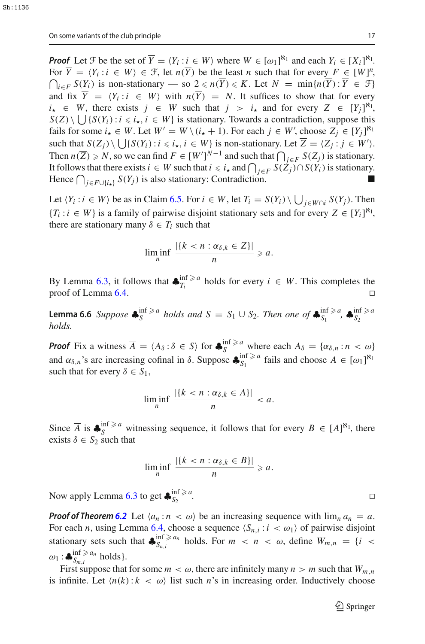*Proof* Let  $\mathcal{F}$  be the set of  $\overline{Y} = \langle Y_i : i \in W \rangle$  where  $W \in [\omega_1]^{\aleph_1}$  and each  $Y_i \in [X_i]^{\aleph_1}$ . For  $\overline{Y} = \langle Y_i : i \in W \rangle \in \mathcal{F}$ , let  $n(\overline{Y})$  be the least *n* such that for every  $F \in [W]^n$ For  $Y = \langle Y_i : i \in W \rangle \in \mathcal{F}$ , let  $n(Y)$  be the least *n* such that for every  $F \in [W]^n$ ,<br>  $\bigcap_{i \in F} S(Y_i)$  is non-stationary — so  $2 \le n(\overline{Y}) \le K$ . Let  $N = \min\{n(\overline{Y}) : \overline{Y} \in \mathcal{F}\}\$ and fix  $\overline{Y} = \langle Y_i : i \in W \rangle$  with  $n(\overline{Y}) = N$ . It suffices to show that for every  $i_{\star} \in W$ , there exists  $j \in W$  such that  $j > i_{\star}$  and for every  $Z \in [Y_j]^{\mathbb{N}_1}$ ,  $S(Z) \setminus \bigcup \{S(Y_i) : i \leq i_\star, i \in W\}$  is stationary. Towards a contradiction, suppose this fails for some  $i_{\star} \in W$ . Let  $W' = W \setminus (i_{\star} + 1)$ . For each  $j \in W'$ , choose  $Z_j \in [Y_j]^{N_1}$ such that  $S(Z_j) \setminus \bigcup \{ S(Y_i) : i \leq i_\star, i \in W \}$  is non-stationary. Let  $Z = \langle Z_j : j \in W' \rangle$ . Then  $n(\overline{Z}) \ge N$ , so we can find  $F \in [W']^{N-1}$  and such that  $\bigcap_{j \in F} S(Z_j)$  is stationary. It follows that there exists  $i \in W$  such that  $i \le i_{\star}$  and  $\bigcap_{j \in F} S(Z_j) \cap S(Y_i)$  is stationary. Hence  $\bigcap_{j \in F \cup \{i_{\star}\}} S(Y_j)$  is also stationary: Contradiction.

Let  $\langle Y_i : i \in W \rangle$  be as in Claim [6.5.](#page-15-0) For  $i \in W$ , let  $T_i = S(Y_i) \setminus \bigcup_{j \in W \cap i} S(Y_j)$ . Then {*T<sub>i</sub>* : *i* ∈ *W*} is a family of pairwise disjoint stationary sets and for every  $Z \in [Y_i]^{N_1}$ , there are stationary many  $\delta \in T_i$  such that

$$
\liminf_{n} \frac{|\{k < n : \alpha_{\delta,k} \in Z\}|}{n} \geqslant a.
$$

<span id="page-16-0"></span>By Lemma [6.3,](#page-14-2) it follows that  $\bigstar_{T_i}^{\text{inf} \ge a}$  holds for every  $i \in W$ . This completes the proof of Lemma [6.4.](#page-15-1)  $\Box$ 

**Lemma 6.6** *Suppose*  $\clubsuit_{S}^{\inf \ge a}$  *holds and*  $S = S_1 \cup S_2$ *. Then one of*  $\clubsuit_{S_1}^{\inf \ge a}$ ,  $\clubsuit_{S_2}^{\inf \ge a}$ *S*2 *holds.*

*Proof* Fix a witness  $\overline{A} = \langle A_{\delta} : \delta \in S \rangle$  for  $\clubsuit_{S}^{\inf \geq a}$  where each  $A_{\delta} = \{ \alpha_{\delta,n} : n < \omega \}$ and  $\alpha_{\delta,n}$ 's are increasing cofinal in  $\delta$ . Suppose  $\clubsuit_{S_1}^{\inf \ge a}$  fails and choose  $A \in [\omega_1]^{\aleph_1}$ such that for every  $\delta \in S_1$ ,

$$
\liminf_{n} \frac{|\{k < n : \alpha_{\delta,k} \in A\}|}{n} < a.
$$

Since  $\overline{A}$  is  $\clubsuit_S^{\inf \ge a}$  witnessing sequence, it follows that for every  $B \in [A]^{\aleph_1}$ , there exists  $\delta \in S_2$  such that

$$
\liminf_{n} \frac{|\{k < n : \alpha_{\delta,k} \in B\}|}{n} \geqslant a.
$$

Now apply Lemma [6.3](#page-14-2) to get  $\clubsuit_{S_2}^{\text{inf} \ge a}$  $S_2$  .  $\Box$ 

*Proof of Theorem [6.2](#page-14-3)* Let  $\langle a_n : n \langle \omega \rangle$  be an increasing sequence with  $\lim_{n \to \infty} a_n = a$ . For each *n*, using Lemma [6.4,](#page-15-1) choose a sequence  $\langle S_{n,i} : i \langle \omega_1 \rangle$  of pairwise disjoint stationary sets such that  $\oint_{S_{n,i}}^{\inf \ge a_n}$  holds. For  $m < n < \omega$ , define  $W_{m,n} = \{i <$  $\omega_1$  :  $\clubsuit_{S_{m,i}}^{\inf \ge a_n}$  holds }.

First suppose that for some  $m < \omega$ , there are infinitely many  $n > m$  such that  $W_{m,n}$ is infinite. Let  $\langle n(k): k \langle \omega \rangle$  list such *n*'s in increasing order. Inductively choose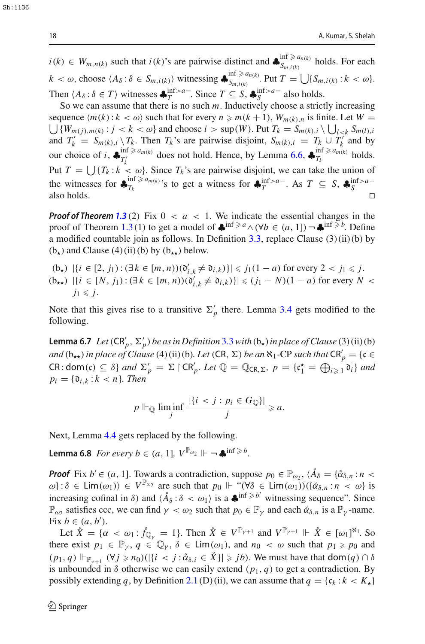$i(k) \in W_{m,n(k)}$  such that  $i(k)$ 's are pairwise distinct and  $\clubsuit_{S_{m,i(k)}}^{\inf \ge a_{n(k)}}$  $S_{m,i(k)}$  holds. For each  $k < \omega$ , choose  $\langle A_\delta : \delta \in S_{m,i(k)} \rangle$  witnessing  $\clubsuit_{S_{m,i(k)}}^{\inf \ge a_{n(k)}}$  $S_{m,i(k)}$ . Put  $T = \bigcup \{S_{m,i(k)} : k < \omega\}.$ Then  $\langle A_\delta : \delta \in T \rangle$  witnesses  $\clubsuit_T^{\inf > a-}$ . Since  $T \subseteq S$ ,  $\clubsuit_S^{\inf > a-}$  also holds.

So we can assume that there is no such *m*. Inductively choose a strictly increasing  $\bigcup \{W_{m(j),m(k)} : j < k < \omega\}$  and choose  $i > \sup(W)$ . Put  $T_k = S_{m(k),i} \setminus \bigcup_{l < k} S_{m(l),i}$ sequence  $\langle m(k): k \langle \omega \rangle$  such that for every  $n \ge m(k+1)$ ,  $W_{m(k),n}$  is finite. Let  $W =$ and  $T'_k = S_{m(k),i} \setminus T_k$ . Then  $T_k$ 's are pairwise disjoint,  $S_{m(k),i} = T_k \cup T'_k$  and by our choice of *i*,  $\clubsuit_{T'_k}^{\text{inf} \ge a_{m(k)}}$  $T_k^{(n)}$  am(*k*) does not hold. Hence, by Lemma [6.6,](#page-16-0) ♣ $T_k^{(n)}$  holds. Put  $T = \bigcup \{T_k : k < \omega\}$ . Since  $T_k$ 's are pairwise disjoint, we can take the union of the witnesses for  $\oint_{T_k}^{\inf \ge a_{m(k)}}$ 's to get a witness for  $\oint_{T}^{\inf > a-}$ . As  $T \subseteq S$ ,  $\oint_{S}^{\inf > a-}$ also holds.  $\square$ 

*Proof of Theorem [1.3](#page-1-0)* (2) Fix  $0 < a < 1$ . We indicate the essential changes in the proof of Theorem [1.3](#page-1-0)(1) to get a model of  $\bigstar^{\text{inf} \ge a} \wedge (\forall b \in (a, 1]) \neg \bigstar^{\text{inf} \ge b}$ . Define a modified countable join as follows. In Definition  $3.3$ , replace Clause  $(3)(ii)(b)$  by  $(b<sub>+</sub>)$  and Clause  $(4)$  (ii) (b) by  $(b<sub>**</sub>)$  below.

$$
\begin{aligned} \n\text{(b)} \quad & \left| \{ i \in [2, j_1) : (\exists k \in [m, n))(\mathfrak{d}_{i,k}^{\prime} \neq \mathfrak{d}_{i,k}) \} \right| \leqslant j_1(1-a) \text{ for every } 2 < j_1 \leqslant j. \\ \n\text{(b)} \quad & \left| \{ i \in [N, j_1) : (\exists k \in [m, n))(\mathfrak{d}_{i,k}^{\prime} \neq \mathfrak{d}_{i,k}) \} \right| \leqslant (j_1 - N)(1 - a) \text{ for every } N < j_1 \leqslant j. \n\end{aligned}
$$

Note that this gives rise to a transitive  $\Sigma'_p$  there. Lemma [3.4](#page-6-0) gets modified to the following.

<span id="page-17-0"></span>**Lemma 6.7** *Let*  $(\text{CR}_p', \Sigma_p')$  *be as in Definition* [3.3](#page-5-2) *with*  $(b_\star)$  *in place of Clause* (3) (ii) (b) *and*  $(b_{**})$  *in place of Clause* (4) (ii) (b)*. Let* (CR,  $\Sigma$ ) *be an*  $\aleph_1$ -CP *such that*  $CR'_p = \{c \in$  $CR: dom(c) \subseteq \delta$  *and*  $\Sigma'_p = \Sigma \upharpoonright CR'_p$ . Let  $\mathbb{Q} = \mathbb{Q}_{CR,\Sigma}$ ,  $p = \{c_1^{\star} = \bigoplus_{i \geq 1} \overline{\delta}_i\}$  and  $p_i = \{\mathfrak{d}_{i,k} : k < n\}$ *. Then* 

$$
p \Vdash_{\mathbb{Q}} \liminf_{j} \frac{|\{i < j : p_i \in G_{\mathbb{Q}}\}|}{j} \geqslant a.
$$

Next, Lemma [4.4](#page-9-0) gets replaced by the following.

**Lemma 6.8** *For every b*  $\in$   $(a, 1]$ ,  $V^{\mathbb{P}_{\omega_2}} \Vdash \neg \clubsuit^{\inf \geq b}$ .

*Proof* Fix  $b' \in (a, 1]$ . Towards a contradiction, suppose  $p_0 \in \mathbb{P}_{\omega_2}$ ,  $\langle \mathring{A}_{\delta} = {\delta_{\delta,n} : n \leq \delta_{\delta,n} \atop \sim}$  $\omega$ :  $\delta \in \text{Lim}(\omega_1)$   $\in V^{\mathbb{P}_{\omega_2}}$  are such that  $p_0 \Vdash \mathfrak{m}(\forall \delta \in \text{Lim}(\omega_1))$  $(\{\alpha_{\delta,n} : n \leq \omega\} \text{ is }$ increasing cofinal in  $\delta$ ) and  $\langle \hat{A}_{\delta} : \delta < \omega_1 \rangle$  is a  $\clubsuit$ <sup>inf  $\geq b'$ </sup> witnessing sequence". Since  $\mathbb{P}_{\omega_2}$  satisfies ccc, we can find  $\gamma < \omega_2$  such that  $p_0 \in \mathbb{P}_{\gamma}$  and each  $\mathring{\alpha}_{\delta,n}$  is a  $\mathbb{P}_{\gamma}$ -name. Fix  $b \in (a, b')$ .

Let  $\mathring{X} = \{ \alpha < \omega_1 : \mathring{f}_{\mathbb{Q}_\gamma} = 1 \}$ . Then  $\mathring{X} \in V^{\mathbb{P}_{\gamma+1}}$  and  $V^{\mathbb{P}_{\gamma+1}} \Vdash \mathring{X} \in [\omega_1]^{\aleph_1}$ . So there exist  $p_1 \in \mathbb{P}_\gamma$ ,  $q \in \mathbb{Q}_\gamma$ ,  $\delta \in \text{Lim}(\omega_1)$ , and  $n_0 < \omega$  such that  $p_1 \geq p_0$  and  $(p_1, q) \Vdash_{\mathbb{P}_{\gamma+1}} (\forall j \geq n_0)(|\{i < j : \mathring{\alpha}_{\delta,i} \in \mathring{X}\}| \geq j_b)$ . We must have that dom $(q) \cap \delta$ is unbounded in  $\delta$  otherwise we can easily extend  $(p_1, q)$  to get a contradiction. By possibly extending *q*, by Definition [2.1](#page-3-1) (D) (ii), we can assume that  $q = \{c_k : k < K_\star\}$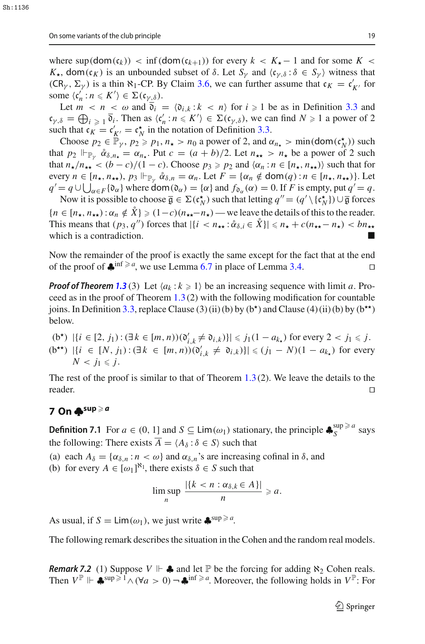where  $\sup(\text{dom}(c_k))$  <  $\inf(\text{dom}(c_{k+1}))$  for every  $k < K_{\star} - 1$  and for some  $K <$  $K_{\star}$ , dom(c<sub>K</sub>) is an unbounded subset of  $\delta$ . Let  $S_{\gamma}$  and  $\langle c_{\gamma,\delta} : \delta \in S_{\gamma} \rangle$  witness that  $(CR_\gamma, \Sigma_\gamma)$  is a thin  $\aleph_1$ -CP. By Claim [3.6,](#page-7-1) we can further assume that  $c_K = c'_{K'}$  for some  $\langle c'_n : n \leq K' \rangle \in \Sigma(c_{\gamma \underline{\delta}})$ .

Let  $m < n < \omega$  and  $\mathfrak{d}_i = \langle \mathfrak{d}_{i,k} : k < n \rangle$  for  $i \ge 1$  be as in Definition [3.3](#page-5-2) and  $\mathfrak{c}_{\gamma,\delta} = \bigoplus_{i \geq 1} \mathfrak{d}_i$ . Then as  $\langle \mathfrak{c}'_n : n \leq K' \rangle \in \Sigma(\mathfrak{c}_{\gamma,\delta})$ , we can find  $N \geq 1$  a power of 2 such that  $c_K = c'_{K'} = c_N^*$  in the notation of Definition [3.3.](#page-5-2)

Choose  $p_2 \in \mathbb{P}_\gamma$ ,  $p_2 \geq p_1$ ,  $n_\star > n_0$  a power of 2, and  $\alpha_{n_\star} > \min(\text{dom}(\mathfrak{c}_N^{\star}))$  such that  $p_2 \Vdash_{\mathbb{P}_y} \mathring{\alpha}_{\delta,n_{\star}} = \alpha_{n_{\star}}$ . Put  $c = (a + b)/2$ . Let  $n_{\star \star} > n_{\star}$  be a power of 2 such that  $n_{\star}/n_{\star\star} < (b-c)/(1-c)$ . Choose  $p_3 \ge p_2$  and  $\langle \alpha_n : n \in [n_{\star}, n_{\star\star} \rangle \rangle$  such that for every  $n \in [n_{\star}, n_{\star\star}), p_3 \Vdash_{\mathbb{P}_v} \mathring{\alpha}_{\delta,n} = \alpha_n$ . Let  $F = \{\alpha_n \notin \text{dom}(q) : n \in [n_{\star}, n_{\star\star})\}$ . Let  $q' = q \cup \bigcup_{\alpha \in F} {\alpha_{\alpha}}$  where  $\text{dom}(\mathfrak{d}_{\alpha}) = {\alpha}$  and  $f_{\mathfrak{d}_{\alpha}}(\alpha) = 0$ . If *F* is empty, put  $q' = q$ .

Now it is possible to choose  $\overline{\mathfrak{g}} \in \Sigma(\mathfrak{c}_N^{\star})$  such that letting  $q'' = (q' \setminus {\{\mathfrak{c}_N^{\star}\}}) \cup \overline{\mathfrak{g}}$  forces  ${n \in [n_\star, n_{\star\star}) : \alpha_n \notin \mathring{X}} \geq (1-c)(n_{\star\star}-n_{\star})$  — we leave the details of this to the reader. This means that  $(p_3, q'')$  forces that  $|\{i \leq n_{\star} : \mathring{\alpha}_{\delta,i} \in \mathring{X}\}| \leq n_{\star} + c(n_{\star \star} - n_{\star}) < bn_{\star \star}$ which is a contradiction.

Now the remainder of the proof is exactly the same except for the fact that at the end of the proof of  $\clubsuit$ <sup>inf  $\geq a$ </sup>, we use Lemma [6.7](#page-17-0) in place of Lemma [3.4.](#page-6-0)

*Proof of Theorem [1.3](#page-1-0)* (3) Let  $\langle a_k : k \geq 1 \rangle$  be an increasing sequence with limit *a*. Proceed as in the proof of Theorem  $1.3(2)$  $1.3(2)$  with the following modification for countable joins. In Definition [3.3,](#page-5-2) replace Clause (3) (ii) (b) by ( $b^{\star}$ ) and Clause (4) (ii) (b) by  $(b^{\star})$ below.

 $(b<sup>*</sup>)$  |{*i* ∈ [2, *j*<sub>1</sub>): (∃*k* ∈ [*m*, *n*))( $\mathfrak{d}'_{i,k} \neq \mathfrak{d}_{i,k}$ )}| ≤ *j*<sub>1</sub>(1 − *a*<sub>k</sub>) for every 2 < *j*<sub>1</sub> ≤ *j*.  $(b^{**})$  |{*i* ∈ [*N*, *j*<sub>1</sub>):(∃*k* ∈ [*m*, *n*))( $0'_{i,k} \neq 0_{i,k}$ }}| ≤ (*j*<sub>1</sub> − *N*)(1 − *a<sub>k*<sup>\*</sup></sub>) for every  $N < j_1 \leq j$ .

The rest of the proof is similar to that of Theorem  $1.3(2)$  $1.3(2)$ . We leave the details to the reader.

# <span id="page-18-1"></span>**7 On ♣sup** - *a*

<span id="page-18-2"></span>**Definition 7.1** For  $a \in (0, 1]$  and  $S \subseteq Lim(\omega_1)$  stationary, the principle  $\clubsuit_S^{\text{sup}} \ge a$  says the following: There exists  $\overline{A} = \langle A_{\delta} : \delta \in S \rangle$  such that

(a) each  $A_{\delta} = {\alpha_{\delta,n} : n < \omega}$  and  $\alpha_{\delta,n}$ 's are increasing cofinal in  $\delta$ , and

(b) for every  $A \in [\omega_1]^{\aleph_1}$ , there exists  $\delta \in S$  such that

$$
\limsup_n \frac{|\{k < n : \alpha_{\delta,k} \in A\}|}{n} \geqslant a.
$$

As usual, if  $S = \text{Lim}(\omega_1)$ , we just write  $\clubsuit^{\text{sup}\ge a}$ .

<span id="page-18-0"></span>The following remark describes the situation in the Cohen and the random real models.

*Remark 7.2* (1) Suppose  $V \Vdash$   $\clubsuit$  and let  $\mathbb{P}$  be the forcing for adding  $\aleph_2$  Cohen reals. Then  $V^{\mathbb{P}} \Vdash \clubsuit^{\sup \geq 1} \wedge (\forall a > 0) \neg \clubsuit^{\inf \geq a}$ . Moreover, the following holds in  $V^{\mathbb{P}}$ : For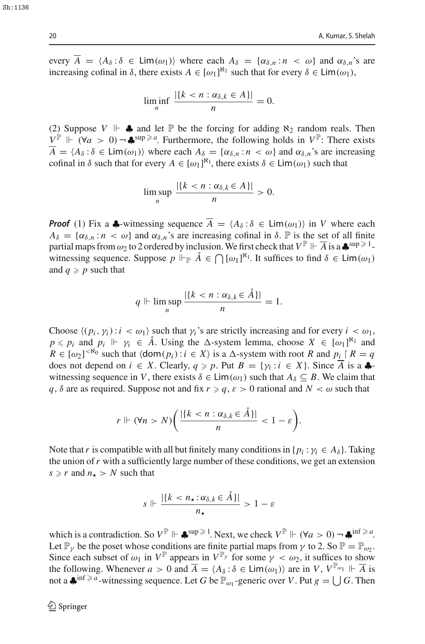every  $\overline{A} = \langle A_{\delta} : \delta \in \text{Lim}(\omega_1) \rangle$  where each  $A_{\delta} = \{ \alpha_{\delta,n} : n \langle \omega \rangle \}$  and  $\alpha_{\delta,n}$ 's are increasing cofinal in  $\delta$ , there exists  $A \in [\omega_1]^{\aleph_1}$  such that for every  $\delta \in \text{Lim}(\omega_1)$ ,

$$
\liminf_{n} \frac{|\{k < n : \alpha_{\delta,k} \in A\}|}{n} = 0.
$$

(2) Suppose  $V \Vdash$   $\clubsuit$  and let  $\mathbb{P}$  be the forcing for adding  $\aleph_2$  random reals. Then *V*<sup>P</sup>  $\Vdash$  (∀*a* > 0) ¬  $\clubsuit$ <sup>sup ≥ *a*</sup>. Furthermore, the following holds in *V*<sup>P</sup>: There exists  $\overline{A} = \langle A_{\delta} : \delta \in \text{Lim}(\omega_1) \rangle$  where each  $A_{\delta} = \{ \alpha_{\delta,n} : n \leq \omega \}$  and  $\alpha_{\delta,n}$ 's are increasing cofinal in  $\delta$  such that for every  $A \in [\omega_1]^{\aleph_1}$ , there exists  $\delta \in \text{Lim}(\omega_1)$  such that

$$
\limsup_n \frac{|\{k < n : \alpha_{\delta,k} \in A\}|}{n} > 0.
$$

*Proof* (1) Fix a  $\clubsuit$ -witnessing sequence  $\overline{A} = \langle A_{\delta} : \delta \in \text{Lim}(\omega_1) \rangle$  in *V* where each  $A_{\delta} = {\alpha_{\delta,n} : n < \omega}$  and  $\alpha_{\delta,n}$ 's are increasing cofinal in  $\delta$ .  $\mathbb P$  is the set of all finite partial maps from  $\omega_2$  to 2 ordered by inclusion. We first check that  $V^{\mathbb{P}} \Vdash \overline{A}$  is a  $\clubsuit^{\sup\geq 1}$ witnessing sequence. Suppose  $p \Vdash_{\mathbb{P}} \hat{A} \in \bigcap [\omega_1]^{\aleph_1}$ . It suffices to find  $\delta \in \text{Lim}(\omega_1)$ and  $q \geqslant p$  such that

$$
q \Vdash \limsup_n \frac{|\{k < n : \alpha_{\delta,k} \in \AA\}|}{n} = 1.
$$

Choose  $\langle (p_i, \gamma_i) : i < \omega_1 \rangle$  such that  $\gamma_i$ 's are strictly increasing and for every  $i < \omega_1$ ,  $p \leq p_i$  and  $p_i \Vdash \gamma_i \in \mathring{A}$ . Using the  $\Delta$ -system lemma, choose  $X \in [\omega_1]^{\aleph_1}$  and  $R \in [\omega_2]^{< \aleph_0}$  such that  $\langle \text{dom}(p_i) : i \in X \rangle$  is a  $\triangle$ -system with root *R* and  $p_i \upharpoonright R = q$ does not depend on  $i \in X$ . Clearly,  $q \ge p$ . Put  $B = \{ \gamma_i : i \in X \}$ . Since A is a  $\clubsuit$ witnessing sequence in *V*, there exists  $\delta \in \text{Lim}(\omega_1)$  such that  $A_{\delta} \subseteq B$ . We claim that *q*,  $\delta$  are as required. Suppose not and fix  $r \geq q$ ,  $\varepsilon > 0$  rational and  $N < \omega$  such that

$$
r \Vdash (\forall n > N) \bigg( \frac{|\{k < n : \alpha_{\delta,k} \in \AA\}|}{n} < 1 - \varepsilon \bigg).
$$

Note that *r* is compatible with all but finitely many conditions in  $\{p_i : \gamma_i \in A_\delta\}$ . Taking the union of*r* with a sufficiently large number of these conditions, we get an extension  $s \geq r$  and  $n_{\star} > N$  such that

$$
s \Vdash \frac{|\{k < n_\star : \alpha_{\delta,k} \in \AA\}|}{n_\star} > 1 - \varepsilon
$$

which is a contradiction. So  $V^{\mathbb{P}} \Vdash \clubsuit^{\sup \geq 1}$ . Next, we check  $V^{\mathbb{P}} \Vdash (\forall a > 0) \neg \clubsuit^{\inf \geq a}$ . Let  $\mathbb{P}_{\nu}$  be the poset whose conditions are finite partial maps from  $\gamma$  to 2. So  $\mathbb{P} = \mathbb{P}_{\omega}$ . Since each subset of  $\omega_1$  in  $V^{\mathbb{P}}$  appears in  $V^{\mathbb{P}}$  for some  $\gamma < \omega_2$ , it suffices to show the following. Whenever  $a > 0$  and  $\overline{A} = \langle A_{\delta} : \delta \in \text{Lim}(\omega_1) \rangle$  are in *V*,  $V^{\mathbb{P}_{\omega_1}} \Vdash \overline{A}$  is not a  $\clubsuit$ <sup>inf  $\geq a$ </sup>-witnessing sequence. Let *G* be  $\mathbb{P}_{\omega_1}$ -generic over *V*. Put  $g = \bigcup G$ . Then

 $S_{h+1136}$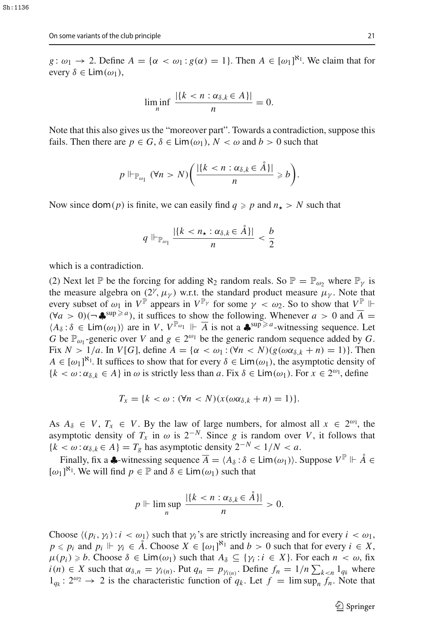*g* :  $\omega_1 \rightarrow 2$ . Define  $A = \{ \alpha < \omega_1 : g(\alpha) = 1 \}$ . Then  $A \in [\omega_1]^{\mathbb{N}_1}$ . We claim that for every  $\delta \in \text{Lim}(\omega_1)$ ,

$$
\liminf_{n} \frac{|\{k < n : \alpha_{\delta,k} \in A\}|}{n} = 0.
$$

Note that this also gives us the "moreover part". Towards a contradiction, suppose this fails. Then there are  $p \in G$ ,  $\delta \in \text{Lim}(\omega_1)$ ,  $N < \omega$  and  $b > 0$  such that

$$
p \Vdash_{\mathbb{P}_{\omega_1}} (\forall n > N) \bigg( \frac{|\{k < n : \alpha_{\delta,k} \in \mathring{A}\}|}{n} \geq b \bigg).
$$

Now since  $\text{dom}(p)$  is finite, we can easily find  $q \geq p$  and  $n_{\star} > N$  such that

$$
q \Vdash_{\mathbb{P}_{\omega_1}} \frac{|\{k < n_\star : \alpha_{\delta,k} \in \AA\}|}{n} < \frac{b}{2}
$$

which is a contradiction.

(2) Next let P be the forcing for adding  $\aleph_2$  random reals. So  $\mathbb{P} = \mathbb{P}_{\omega_2}$  where  $\mathbb{P}_{\nu}$  is the measure algebra on  $(2^{\gamma}, \mu_{\gamma})$  w.r.t. the standard product measure  $\mu_{\gamma}$ . Note that every subset of  $\omega_1$  in  $V^{\mathbb{P}}$  appears in  $V^{\mathbb{P}}$  for some  $\gamma < \omega_2$ . So to show that  $V^{\mathbb{P}}$   $\Vdash$  $(\forall a > 0)$ (¬♣<sup>sup ≥ *a*</sup>), it suffices to show the following. Whenever *a* > 0 and  $\overline{A}$  =  $\langle A_\delta : \delta \in \text{Lim}(\omega_1) \rangle$  are in *V*,  $V^{\mathbb{P}_{\omega_1}} \Vdash \overline{A}$  is not a  $\clubsuit^{\text{sup}\ge a}$ -witnessing sequence. Let *G* be  $\mathbb{P}_{\omega_1}$ -generic over *V* and  $g \in 2^{\omega_1}$  be the generic random sequence added by *G*. Fix  $N > 1/a$ . In  $V[G]$ , define  $A = {\alpha < \omega_1 : (\forall n < N)(g(\omega \alpha_{\delta,k} + n) = 1)}$ . Then  $A \in [\omega_1]^{\aleph_1}$ . It suffices to show that for every  $\delta \in \text{Lim}(\omega_1)$ , the asymptotic density of  ${k < \omega : \alpha_{\delta,k} \in A}$  in  $\omega$  is strictly less than *a*. Fix  $\delta \in \text{Lim}(\omega_1)$ . For  $x \in 2^{\omega_1}$ , define

$$
T_x = \{k < \omega : (\forall n < N)(x(\omega \alpha_{\delta,k} + n) = 1)\}.
$$

As  $A_{\delta} \in V$ ,  $T_x \in V$ . By the law of large numbers, for almost all  $x \in 2^{\omega_1}$ , the asymptotic density of  $T_x$  in  $\omega$  is  $2^{-N}$ . Since *g* is random over *V*, it follows that  ${k < \omega : \alpha_{\delta,k} \in A} = T_g$  has asymptotic density  $2^{-N} < 1/N < a$ .

Finally, fix a  $\clubsuit$ -witnessing sequence  $\overline{A} = \langle A_{\delta} : \delta \in \text{Lim}(\omega_1) \rangle$ . Suppose  $V^{\mathbb{P}} \Vdash \mathring{A} \in$  $[\omega_1]^{\aleph_1}$ . We will find  $p \in \mathbb{P}$  and  $\delta \in \text{Lim}(\omega_1)$  such that

$$
p \Vdash \limsup_n \frac{|\{k < n : \alpha_{\delta,k} \in \AA\}|}{n} > 0.
$$

Choose  $\langle (p_i, \gamma_i) : i < \omega_1 \rangle$  such that  $\gamma_i$ 's are strictly increasing and for every  $i < \omega_1$ ,  $p \leq p_i$  and  $p_i \Vdash \gamma_i \in \mathring{A}$ . Choose  $X \in [\omega_1]^{\aleph_1}$  and  $b > 0$  such that for every  $i \in X$ ,  $\mu(p_i) \geq b$ . Choose  $\delta \in \text{Lim}(\omega_1)$  such that  $A_{\delta} \subseteq \{\gamma_i : i \in X\}$ . For each  $n < \omega$ , fix  $i(n) \in X$  such that  $\alpha_{\delta,n} = \gamma_{i(n)}$ . Put  $q_n = p_{\gamma_{i(n)}}$ . Define  $f_n = 1/n \sum_{k \le n} 1_{q_k}$  where  $1_{q_k}: 2^{\omega_2} \rightarrow 2$  is the characteristic function of  $q_k$ . Let  $f = \limsup_n f_n$ . Note that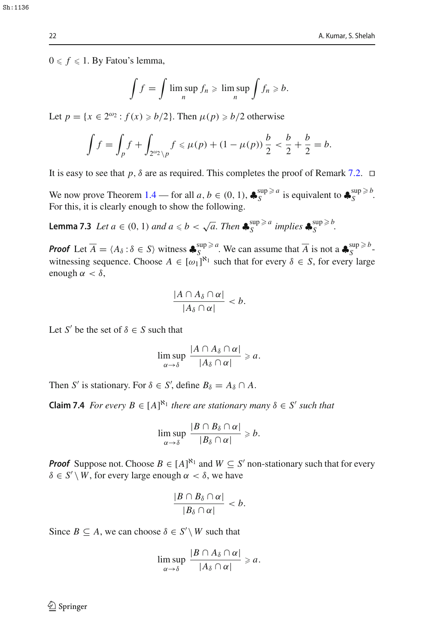$0 \le f \le 1$ . By Fatou's lemma,

$$
\int f = \int \limsup_n f_n \geqslant \limsup_n \int f_n \geqslant b.
$$

Let  $p = \{x \in 2^{\omega_2} : f(x) \ge b/2\}$ . Then  $\mu(p) \ge b/2$  otherwise

$$
\int f = \int_p f + \int_{2^{2/2} \setminus p} f \le \mu(p) + (1 - \mu(p)) \frac{b}{2} < \frac{b}{2} + \frac{b}{2} = b.
$$

It is easy to see that *p*,  $\delta$  are as required. This completes the proof of Remark [7.2.](#page-18-0)  $\Box$ 

We now prove Theorem [1.4](#page-1-3) — for all  $a, b \in (0, 1)$ ,  $\clubsuit_S^{\sup\geq a}$  is equivalent to  $\clubsuit_S^{\sup\geq b}$ . For this, it is clearly enough to show the following.

**Lemma 7.3** *Let*  $a \in (0, 1)$  *and*  $a \le b < \sqrt{a}$ . *Then*  $\clubsuit_S^{\sup \ge a}$  *implies*  $\clubsuit_S^{\sup \ge b}$ .

*Proof* Let  $\overline{A} = \langle A_{\delta} : \delta \in S \rangle$  witness  $\clubsuit_{S}^{\sup \geq a}$ . We can assume that  $\overline{A}$  is not a  $\clubsuit_{S}^{\sup \geq b}$ witnessing sequence. Choose  $A \in [\omega_1]^{\aleph_1}$  such that for every  $\delta \in S$ , for every large enough  $\alpha < \delta$ ,

$$
\frac{|A \cap A_{\delta} \cap \alpha|}{|A_{\delta} \cap \alpha|} < b.
$$

Let *S'* be the set of  $\delta \in S$  such that

$$
\limsup_{\alpha\to\delta}\frac{|A\cap A_\delta\cap\alpha|}{|A_\delta\cap\alpha|}\geqslant a.
$$

Then *S'* is stationary. For  $\delta \in S'$ , define  $B_{\delta} = A_{\delta} \cap A$ .

**Claim 7.4** *For every*  $B \in [A]^{\aleph_1}$  *there are stationary many*  $\delta \in S'$  *such that* 

$$
\limsup_{\alpha\to\delta}\frac{|B\cap B_\delta\cap\alpha|}{|B_\delta\cap\alpha|}\geqslant b.
$$

*Proof* Suppose not. Choose  $B \in [A]^{\aleph_1}$  and  $W \subseteq S'$  non-stationary such that for every  $\delta \in S' \setminus W$ , for every large enough  $\alpha < \delta$ , we have

$$
\frac{|B\cap B_\delta\cap\alpha|}{|B_\delta\cap\alpha|}
$$

Since  $B \subseteq A$ , we can choose  $\delta \in S' \setminus W$  such that

$$
\limsup_{\alpha\to\delta}\frac{|B\cap A_\delta\cap\alpha|}{|A_\delta\cap\alpha|}\geqslant a.
$$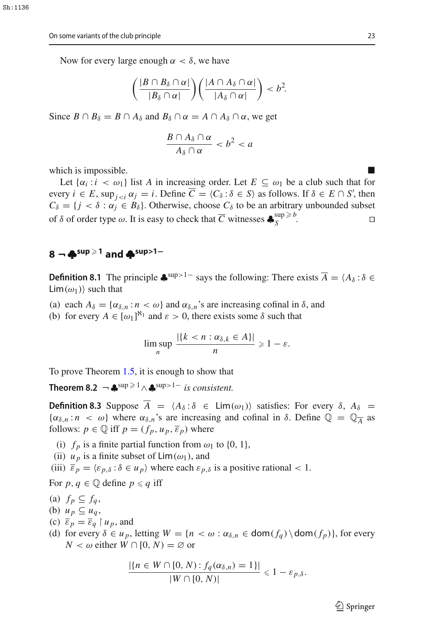Now for every large enough  $\alpha < \delta$ , we have

$$
\left(\frac{|B\cap B_{\delta}\cap \alpha|}{|B_{\delta}\cap \alpha|}\right)\left(\frac{|A\cap A_{\delta}\cap \alpha|}{|A_{\delta}\cap \alpha|}\right) < b^2.
$$

Since  $B \cap B_{\delta} = B \cap A_{\delta}$  and  $B_{\delta} \cap \alpha = A \cap A_{\delta} \cap \alpha$ , we get

$$
\frac{B\cap A_{\delta}\cap \alpha}{A_{\delta}\cap \alpha}
$$

which is impossible.

Let  $\{\alpha_i : i < \omega_1\}$  list A in increasing order. Let  $E \subseteq \omega_1$  be a club such that for every  $i \in E$ ,  $\sup_{j \le i} \alpha_j = i$ . Define  $C = \langle C_\delta : \delta \in S \rangle$  as follows. If  $\delta \in E \cap S'$ , then  $C_{\delta} = \{j < \delta : \alpha_j \in B_{\delta}\}\.$  Otherwise, choose  $C_{\delta}$  to be an arbitrary unbounded subset of  $\delta$  of order type  $\omega$ . It is easy to check that  $\overline{C}$  witnesses  $\clubsuit_S^{\sup \ge b}$ .

# <span id="page-22-0"></span>**<sup>8</sup> ¬ ♣sup** - **<sup>1</sup> and ♣sup***>***1<sup>−</sup>**

<span id="page-22-1"></span>**Definition 8.1** The principle  $\bullet$ <sup>sup>1−</sup> says the following: There exists  $\overline{A} = \langle A_\delta : \delta \in \mathbb{R}$  $\text{Lim}(\omega_1)$  such that

- (a) each  $A_{\delta} = {\alpha_{\delta,n} : n < \omega}$  and  $\alpha_{\delta,n}$ 's are increasing cofinal in  $\delta$ , and
- (b) for every  $A \in [\omega_1]^{\aleph_1}$  and  $\varepsilon > 0$ , there exists some  $\delta$  such that

<span id="page-22-3"></span>
$$
\limsup_n \frac{|\{k < n : \alpha_{\delta,k} \in A\}|}{n} \geq 1 - \varepsilon.
$$

To prove Theorem [1.5,](#page-2-1) it is enough to show that

<span id="page-22-2"></span>**Theorem 8.2**  $\neg$   $\clubsuit$ <sup>sup > 1</sup>  $\wedge$   $\clubsuit$ <sup>sup>1–</sup> *is consistent.* 

**Definition 8.3** Suppose  $\overline{A} = \langle A_{\delta} : \delta \in \text{Lim}(\omega_1) \rangle$  satisfies: For every  $\delta$ ,  $A_{\delta} =$  $\{\alpha_{\delta,n} : n \leq \omega\}$  where  $\alpha_{\delta,n}$ 's are increasing and cofinal in  $\delta$ . Define  $\mathbb{Q} = \mathbb{Q}_{\overline{A}}$  as follows:  $p \in \mathbb{Q}$  iff  $p = (f_p, u_p, \overline{\varepsilon}_p)$  where

- (i)  $f_p$  is a finite partial function from  $\omega_1$  to  $\{0, 1\}$ ,
- (ii)  $u_p$  is a finite subset of  $\text{Lim}(\omega_1)$ , and

(iii)  $\overline{\varepsilon}_p = \langle \varepsilon_{p,\delta} : \delta \in u_p \rangle$  where each  $\varepsilon_{p,\delta}$  is a positive rational  $< 1$ .

For  $p, q \in \mathbb{Q}$  define  $p \leq q$  iff

- (a)  $f_p \subseteq f_q$ ,
- (b)  $u_p \subseteq u_q$ ,
- (c)  $\overline{\varepsilon}_p = \overline{\varepsilon}_q \upharpoonright u_p$ , and
- (d) for every  $\delta \in u_p$ , letting  $W = \{n < \omega : \alpha_{\delta,n} \in \text{dom}(f_q) \setminus \text{dom}(f_p)\}\)$ , for every *N* < ω either *W* ∩ [0, *N*) = ∅ or

$$
\frac{|\{n \in W \cap [0, N) : f_q(\alpha_{\delta, n}) = 1\}|}{|W \cap [0, N)|} \leq 1 - \varepsilon_{p, \delta}.
$$

 $\mathcal{L}$  Springer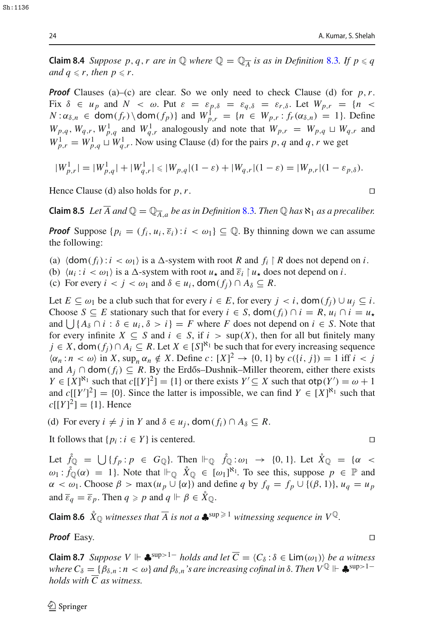**Claim 8.4** *Suppose p, q, r are in*  $\mathbb Q$  *where*  $\mathbb Q = \mathbb Q_{\overline{A}}$  *is as in Definition* [8.3](#page-22-2)*. If*  $p \leq q$ *and*  $q \leq r$ *, then*  $p \leq r$ *.* 

*Proof* Clauses (a)–(c) are clear. So we only need to check Clause (d) for  $p, r$ . Fix  $\delta \in u_p$  and  $N < \omega$ . Put  $\varepsilon = \varepsilon_{p,\delta} = \varepsilon_{q,\delta} = \varepsilon_{r,\delta}$ . Let  $W_{p,r} = \{n <$  $N: \alpha_{\delta,n} \in \text{dom}(f_r) \setminus \text{dom}(f_p) \}$  and  $W_{p,r}^1 = \{n \in W_{p,r} : f_r(\alpha_{\delta,n}) = 1\}.$  Define  $W_{p,q}$ ,  $W_{q,r}$ ,  $W_{p,q}^1$  and  $W_{q,r}^1$  analogously and note that  $W_{p,r} = W_{p,q} \sqcup W_{q,r}$  and  $W_{p,r}^1 = W_{p,q}^1 \sqcup W_{q,r}^1$ . Now using Clause (d) for the pairs *p*, *q* and *q*, *r* we get

$$
|W_{p,r}^1| = |W_{p,q}^1| + |W_{q,r}^1| \le |W_{p,q}|(1-\varepsilon) + |W_{q,r}|(1-\varepsilon) = |W_{p,r}|(1-\varepsilon_{p,\delta}).
$$

<span id="page-23-0"></span>Hence Clause (d) also holds for  $p, r$ .

**Claim 8.5** *Let*  $\overline{A}$  *and*  $\mathbb{Q} = \mathbb{Q}_{\overline{A}a}$  *be as in Definition* [8.3](#page-22-2). *Then*  $\mathbb{Q}$  *has*  $\aleph_1$  *as a precaliber.* 

*Proof* Suppose  $\{p_i = (f_i, u_i, \overline{\varepsilon}_i) : i < \omega_1\} \subset \mathbb{Q}$ . By thinning down we can assume the following:

- (a)  $\langle \text{dom}( f_i) : i \langle \omega_1 \rangle \text{ is a } \Delta \text{-system with root } R \text{ and } f_i \upharpoonright R \text{ does not depend on } i.$
- (b)  $\langle u_i : i \rangle \langle u_1 \rangle$  is a  $\triangle$ -system with root  $u_\star$  and  $\overline{\varepsilon}_i \upharpoonright u_\star$  does not depend on *i*.
- (c) For every  $i < j < \omega_1$  and  $\delta \in u_i$ , dom $(f_i) \cap A_\delta \subseteq R$ .

Let  $E \subseteq \omega_1$  be a club such that for every  $i \in E$ , for every  $j \lt i$ , dom $(f_i) \cup u_i \subseteq i$ . Choose *S*  $\subseteq$  *E* stationary such that for every  $i \in S$ , dom( $f_i$ )  $\cap$   $i = R$ ,  $u_i \cap i = u$ , and  $\bigcup \{ A_\delta \cap i : \delta \in u_i, \delta > i \} = F$  where *F* does not depend on  $i \in S$ . Note that for every infinite  $X \subseteq S$  and  $i \in S$ , if  $i > \sup(X)$ , then for all but finitely many *j* ∈ *X*, dom( $f_j$ )∩  $A_i$  ⊆ *R*. Let  $X$  ∈ [*S*]<sup> $\aleph_1$ </sup> be such that for every increasing sequence  $\langle \alpha_n : n \langle \omega \rangle$  in *X*, sup<sub>n</sub>  $\alpha_n \notin X$ . Define *c*:  $[X]^2 \to \{0, 1\}$  by  $c(\{i, j\}) = 1$  iff  $i < j$ and  $A_i$  ∩ dom( $f_i$ ) ⊆ R. By the Erdős–Dushnik–Miller theorem, either there exists  $Y \in [X]^{\aleph_1}$  such that  $c[[Y]^2] = \{1\}$  or there exists  $Y' \subseteq X$  such that  $otp(Y') = \omega + 1$ and  $c[(Y']^2] = \{0\}$ . Since the latter is impossible, we can find  $Y \in [X]^{8_1}$  such that  $c[[Y]^2] = \{1\}$ . Hence

(d) For every  $i \neq j$  in *Y* and  $\delta \in u_j$ , dom $(f_i) \cap A_\delta \subseteq R$ .

It follows that  $\{p_i : i \in Y\}$  is centered.

Let  $\hat{f}_{\mathbb{Q}} = \bigcup \{f_p : p \in G_{\mathbb{Q}}\}$ . Then  $\Vdash_{\mathbb{Q}} \hat{f}_{\mathbb{Q}} : \omega_1 \to \{0, 1\}$ . Let  $\hat{X}_{\mathbb{Q}} = \{\alpha \leq \alpha\}$  $\omega_1 : \hat{f}_\mathbb{Q}(\alpha) = 1$ . Note that  $\Vdash_\mathbb{Q} \hat{X}_\mathbb{Q} \in [\omega_1]^{\aleph_1}$ . To see this, suppose  $p \in \mathbb{P}$  and  $\alpha < \omega_1$ . Choose  $\beta > \max(u_p \cup \{\alpha\})$  and define *q* by  $f_q = f_p \cup \{(\beta, 1)\}, u_q = u_p$ and  $\overline{\varepsilon}_q = \overline{\varepsilon}_p$ . Then  $q \ge p$  and  $q \Vdash \beta \in \mathring{X}_{\mathbb{Q}}$ .

**Claim 8.6**  $\mathring{X}_{\mathbb{Q}}$  witnesses that  $\overline{A}$  is not a  $\clubsuit^{\text{sup}} \geq 1$  witnessing sequence in  $V^{\mathbb{Q}}$ .

**Proof** Easy. □

<span id="page-23-1"></span>**Claim 8.7** *Suppose*  $V \Vdash \clubsuit^{sup>1-}$  *holds and let*  $\overline{C} = \langle C_\delta : \delta \in \text{Lim}(\omega_1) \rangle$  *be a witness where*  $C_\delta = \{\beta_{\delta,n} : n < \omega\}$  *and*  $\beta_{\delta,n}$  *s* are increasing cofinal in  $\delta$ . Then  $V^{\mathbb{Q}} \Vdash \clubsuit^{sup>1-}$ *holds with C as witness.*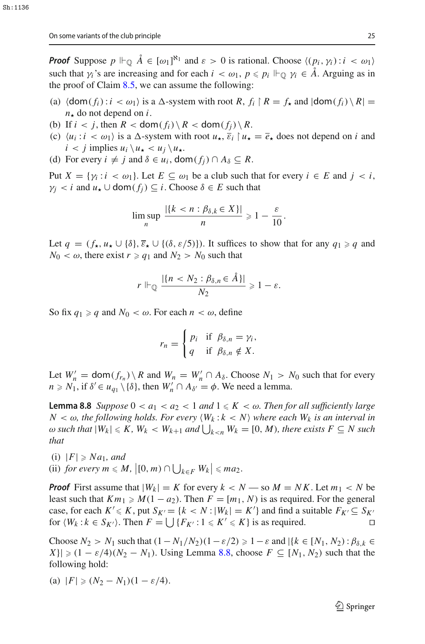*Proof* Suppose  $p \Vdash_{\mathbb{Q}} \hat{A} \in [\omega_1]^{\aleph_1}$  and  $\varepsilon > 0$  is rational. Choose  $\langle (p_i, \gamma_i) : i < \omega_1 \rangle$ such that  $\gamma_i$ 's are increasing and for each  $i < \omega_1$ ,  $p \leq p_i \Vdash_{\mathbb{Q}} \gamma_i \in A$ . Arguing as in the proof of Claim  $8.5$ , we can assume the following:

- (a)  $\langle \text{dom}(f_i) : i < \omega_1 \rangle$  is a  $\Delta$ -system with root  $R, f_i \upharpoonright R = f_\star$  and  $|\text{dom}(f_i) \setminus R|$  $n_{\star}$  do not depend on *i*.
- (b) If  $i < j$ , then  $R <$  dom $(f_i) \setminus R <$  dom $(f_i) \setminus R$ .
- (c)  $\langle u_i : i \rangle \langle u_j \rangle$  is a  $\triangle$ -system with root  $u_\star$ ,  $\overline{\varepsilon}_i \upharpoonright u_\star = \overline{e}_\star$  does not depend on *i* and  $i < j$  implies  $u_i \setminus u_\star < u_j \setminus u_\star$ .
- (d) For every  $i \neq j$  and  $\delta \in u_i$ , dom $(f_i) \cap A_\delta \subseteq R$ .

Put  $X = \{ \gamma_i : i < \omega_1 \}$ . Let  $E \subseteq \omega_1$  be a club such that for every  $i \in E$  and  $j < i$ ,  $\gamma_i \leq i$  and  $u_\star \cup$  dom $(f_i) \subseteq i$ . Choose  $\delta \in E$  such that

$$
\limsup_n \frac{|\{k < n : \beta_{\delta,k} \in X\}|}{n} \geq 1 - \frac{\varepsilon}{10}.
$$

Let  $q = (f_{\star}, u_{\star} \cup \{\delta\}, \overline{\varepsilon}_{\star} \cup \{(\delta, \varepsilon/5)\})$ . It suffices to show that for any  $q_1 \ge q$  and  $N_0 < \omega$ , there exist  $r \ge q_1$  and  $N_2 > N_0$  such that

$$
r \Vdash_{\mathbb{Q}} \frac{|\{n < N_2 : \beta_{\delta,n} \in \AA\}|}{N_2} \geq 1 - \varepsilon.
$$

So fix  $q_1 \ge q$  and  $N_0 < \omega$ . For each  $n < \omega$ , define

$$
r_n = \begin{cases} p_i & \text{if } \beta_{\delta,n} = \gamma_i, \\ q & \text{if } \beta_{\delta,n} \notin X. \end{cases}
$$

Let  $W'_n = \text{dom}(f_{r_n}) \setminus R$  and  $W_n = W'_n \cap A_\delta$ . Choose  $N_1 > N_0$  such that for every  $n \ge N_1$ , if  $\delta' \in u_{q_1} \setminus \{\delta\}$ , then  $W'_n \cap A_{\delta'} = \phi$ . We need a lemma.

<span id="page-24-0"></span>**Lemma 8.8** *Suppose*  $0 < a_1 < a_2 < 1$  *and*  $1 \leq K < \omega$ *. Then for all sufficiently large*  $N < \omega$ , the following holds. For every  $\langle W_k : k < N \rangle$  where each  $W_k$  is an interval in  $\omega$  such that  $|W_k| \leqslant K$ ,  $W_k < W_{k+1}$  and  $\bigcup_{k < n} W_k = [0, M)$ , there exists  $F \subseteq N$  such *that*

 $(i)$   $|F| \geqslant Na_1$ *, and* (ii) *for every*  $m \le M$ ,  $\left| [0, m) \cap \bigcup_{k \in F} W_k \right| \le ma_2$ .

*Proof* First assume that  $|W_k| = K$  for every  $k < N$  — so  $M = NK$ . Let  $m_1 < N$  be least such that  $Km_1 \geq M(1 - a_2)$ . Then  $F = [m_1, N)$  is as required. For the general case, for each  $K' \le K$ , put  $S_{K'} = \{k < N : |W_k| = K'\}$  and find a suitable  $F_{K'} \subseteq S_{K'}$ for  $\langle W_k : k \in S_{K'} \rangle$ . Then  $F = \bigcup \{ F_{K'} : 1 \leq K' \leq K \}$  is as required.

Choose  $N_2 > N_1$  such that  $(1 - N_1/N_2)(1 - \varepsilon/2) \ge 1 - \varepsilon$  and  $|\{k \in [N_1, N_2) : \beta_{\delta,k} \in$  $|X| \geq (1 - \varepsilon/4)(N_2 - N_1)$ . Using Lemma [8.8,](#page-24-0) choose  $F \subseteq [N_1, N_2)$  such that the following hold:

(a) 
$$
|F| \ge (N_2 - N_1)(1 - \varepsilon/4)
$$
.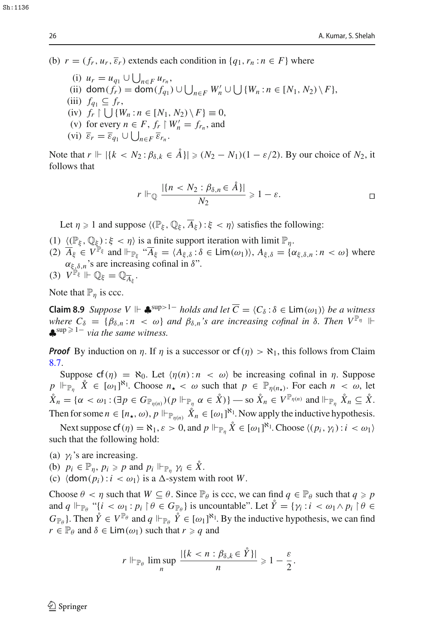(b)  $r = (f_r, u_r, \overline{\varepsilon}_r)$  extends each condition in  $\{q_1, r_n : n \in F\}$  where

(i)  $u_r = u_{q_1} \cup \bigcup_{n \in F} u_{r_n}$ (ii) dom( $f_r$ ) = dom( $f_{q_1}$ ) ∪  $\bigcup_{n \in F} W'_n$  ∪  $\bigcup \{W_n : n \in [N_1, N_2) \setminus F\},\$  $(iii)$   $f_{a_1} \subseteq f_r$ ,  $(iv)$   $f_r \upharpoonright \bigcup \{W_n : n \in [N_1, N_2) \setminus F\} \equiv 0,$ (v) for every  $n \in F$ ,  $f_r \upharpoonright W'_n = f_{r_n}$ , and (vi)  $\overline{\varepsilon}_r = \overline{\varepsilon}_{q_1} \cup \bigcup_{n \in F} \overline{\varepsilon}_{r_n}$ .

Note that  $r$   $\|$   $\|$  { $k < N_2 : \beta_{\delta,k} \in \mathring{A}$ }  $\|$  ≥  $(N_2 - N_1)(1 - \varepsilon/2)$ . By our choice of  $N_2$ , it follows that

$$
r \Vdash_{\mathbb{Q}} \frac{|\{n < N_2 : \beta_{\delta,n} \in \AA\}|}{N_2} \geq 1 - \varepsilon.
$$

Let  $\eta \ge 1$  and suppose  $\langle (\mathbb{P}_{\xi}, \mathbb{Q}_{\xi}, \overline{A}_{\xi}) : \xi < \eta \rangle$  satisfies the following:

- (1)  $\langle (\mathbb{P}_{\xi}, \mathbb{Q}_{\xi}) : \xi < \eta \rangle$  is a finite support iteration with limit  $\mathbb{P}_{\eta}$ .
- (2)  $\overline{A}_{\xi} \in V^{\mathbb{P}_{\xi}}$  and  $\Vdash_{\mathbb{P}_{\xi}}$  " $\overline{A}_{\xi} = \langle A_{\xi,\delta} : \delta \in \text{Lim}(\omega_1) \rangle$ ,  $A_{\xi,\delta} = \{\alpha_{\xi,\delta,n} : n < \omega\}$  where  $\alpha_{\xi,\delta,n}$ 's are increasing cofinal in  $\delta$ ".

$$
(3) V^{\mathbb{P}_{\xi}} \Vdash \mathbb{Q}_{\xi} = \mathbb{Q}_{\overline{A}_{\xi}}.
$$

Note that  $\mathbb{P}_n$  is ccc.

**Claim 8.9** *Suppose V*  $\Vdash$  ♣<sup>sup>1−</sup> *holds and let*  $\overline{C} = \langle C_\delta : \delta \in \text{Lim}(\omega_1) \rangle$  *be a witness where*  $C_{\delta} = {\beta_{\delta,n} : n < \omega}$  *and*  $\beta_{\delta,n}$ 's are increasing cofinal in  $\delta$ . Then  $V^{\mathbb{P}_{\eta}}$   $\Vdash$  $\clubsuit$ <sup>sup ≥ 1–</sup> *via the same witness.* 

*Proof* By induction on  $\eta$ . If  $\eta$  is a successor or  $cf(\eta) > \aleph_1$ , this follows from Claim [8.7.](#page-23-1)

Suppose  $cf(\eta) = \aleph_0$ . Let  $\langle \eta(n) : n \langle \omega \rangle$  be increasing cofinal in  $\eta$ . Suppose  $p \Vdash_{\mathbb{P}_\eta} \hat{X} \in [\omega_1]^{\aleph_1}$ . Choose  $n_{\star} < \omega$  such that  $p \in \mathbb{P}_{\eta(n_{\star})}$ . For each  $n < \omega$ , let  $\mathring{X}_n = \{ \alpha < \omega_1 : (\exists p \in G_{\mathbb{P}_{n(n)}})(p \Vdash_{\mathbb{P}_n} \alpha \in \mathring{X}) \}$  — so  $\mathring{X}_n \in V^{\mathbb{P}_{n(n)}}$  and  $\Vdash_{\mathbb{P}_n} \mathring{X}_n \subseteq \mathring{X}$ . Then for some  $n \in [n_\star, \omega)$ ,  $p \Vdash_{\mathbb{P}_{\eta(n)}} \hat{X}_n \in [\omega_1]^{\aleph_1}$ . Now apply the inductive hypothesis.

Next suppose  $cf(\eta) = \aleph_1, \varepsilon > 0$ , and  $p \Vdash_{\mathbb{P}_\eta} \mathring{X} \in [\omega_1]^{\aleph_1}$ . Choose  $\langle (p_i, \gamma_i) : i < \omega_1 \rangle$ such that the following hold:

(a)  $\gamma$ *i*'s are increasing.

- (b)  $p_i \in \mathbb{P}_\eta, p_i \geqslant p$  and  $p_i \Vdash_{\mathbb{P}_\eta} \gamma_i \in \mathring{X}$ .
- (c)  $\langle \text{dom}(p_i) : i < \omega_1 \rangle$  is a  $\Delta$ -system with root *W*.

Choose  $\theta < \eta$  such that  $W \subseteq \theta$ . Since  $\mathbb{P}_{\theta}$  is ccc, we can find  $q \in \mathbb{P}_{\theta}$  such that  $q \geq p$ and  $q \Vdash_{\mathbb{P}_{\theta}}$  " $\{i < \omega_1 : p_i \mid \theta \in G_{\mathbb{P}_{\theta}}\}$  is uncountable". Let  $\mathring{Y} = \{\gamma_i : i < \omega_1 \wedge p_i \mid \theta \in G_{\mathbb{P}_{\theta}}\}$  $G_{\mathbb{P}_{\theta}}$ }. Then  $\mathring{Y} \in V^{\mathbb{P}_{\theta}}$  and  $q \Vdash_{\mathbb{P}_{\theta}} \mathring{Y} \in [\omega_1]^{\aleph_1}$ . By the inductive hypothesis, we can find *r*  $\in$   $\mathbb{P}_{\theta}$  and  $\delta \in \text{Lim}(\omega_1)$  such that *r*  $\geq$  *q* and

$$
r \Vdash_{\mathbb{P}_{\theta}} \limsup_{n} \frac{|\{k < n : \beta_{\delta,k} \in \mathring{Y}\}|}{n} \geq 1 - \frac{\varepsilon}{2}.
$$

 $S_{h+1136}$